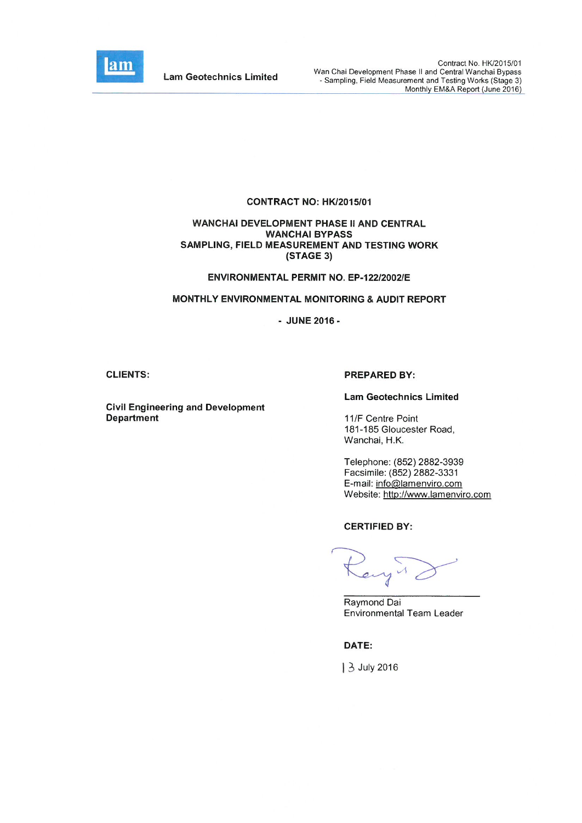

**Lam Geotechnics Limited** 

#### CONTRACT NO: HK/2015/01

#### WANCHAI DEVELOPMENT PHASE II AND CENTRAL **WANCHAI BYPASS** SAMPLING, FIELD MEASUREMENT AND TESTING WORK (STAGE 3)

#### ENVIRONMENTAL PERMIT NO. EP-122/2002/E

#### MONTHLY ENVIRONMENTAL MONITORING & AUDIT REPORT

- JUNE 2016 -

#### **CLIENTS:**

**Civil Engineering and Development Department** 

#### **PREPARED BY:**

#### **Lam Geotechnics Limited**

11/F Centre Point 181-185 Gloucester Road, Wanchai, H.K.

Telephone: (852) 2882-3939 Facsimile: (852) 2882-3331 E-mail: info@lamenviro.com Website: http://www.lamenviro.com

#### **CERTIFIED BY:**

engir

Raymond Dai **Environmental Team Leader** 

DATE:

3 July 2016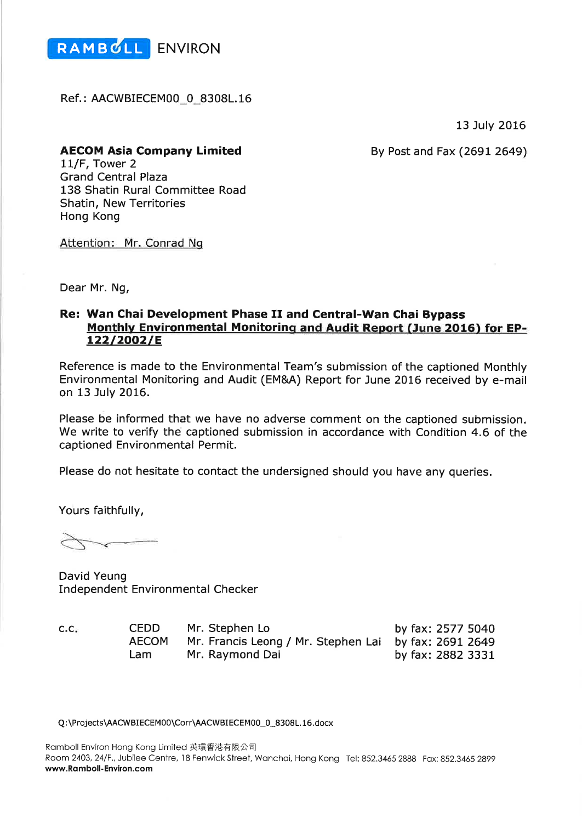

Ref.: AACWBIECEM00\_0\_8308L.16

13 July 2016

**AECOM Asia Company Limited** 

By Post and Fax (2691 2649)

11/F, Tower 2 **Grand Central Plaza** 138 Shatin Rural Committee Road Shatin, New Territories **Hong Kong** 

Attention: Mr. Conrad Ng

Dear Mr. Ng,

# Re: Wan Chai Development Phase II and Central-Wan Chai Bypass Monthly Environmental Monitoring and Audit Report (June 2016) for EP-122/2002/E

Reference is made to the Environmental Team's submission of the captioned Monthly Environmental Monitoring and Audit (EM&A) Report for June 2016 received by e-mail on 13 July 2016.

Please be informed that we have no adverse comment on the captioned submission. We write to verify the captioned submission in accordance with Condition 4.6 of the captioned Environmental Permit.

Please do not hesitate to contact the undersigned should you have any queries.

Yours faithfully,

David Yeung **Independent Environmental Checker** 

 $C.C.$ 

| CEDD         | Mr. Stephen Lo                                        | by fax: 2577 5040 |
|--------------|-------------------------------------------------------|-------------------|
| <b>AECOM</b> | Mr. Francis Leong / Mr. Stephen Lai by fax: 2691 2649 |                   |
| Lam          | Mr. Raymond Dai                                       | by fax: 2882 3331 |

Q:\Projects\AACWBIECEM00\Corr\AACWBIECEM00\_0\_8308L.16.docx

Ramboll Environ Hong Kong Limited 英環香港有限公司 Room 2403, 24/F., Jubilee Centre, 18 Fenwick Street, Wanchai, Hong Kong Tel: 852.3465 2888 Fax: 852.3465 2899 www.Ramboll-Environ.com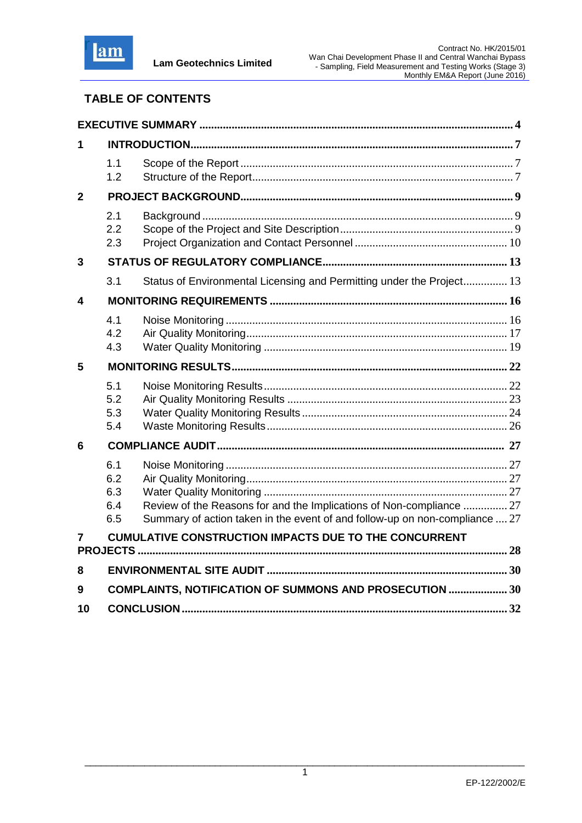

# **TABLE OF CONTENTS**

| 1            |                                 |                                                                                                                                                     |  |
|--------------|---------------------------------|-----------------------------------------------------------------------------------------------------------------------------------------------------|--|
|              | 1.1<br>1.2                      |                                                                                                                                                     |  |
| $\mathbf{2}$ |                                 |                                                                                                                                                     |  |
|              | 2.1<br>2.2<br>2.3               |                                                                                                                                                     |  |
| 3            |                                 |                                                                                                                                                     |  |
|              | 3.1                             | Status of Environmental Licensing and Permitting under the Project 13                                                                               |  |
| 4            |                                 |                                                                                                                                                     |  |
|              | 4.1<br>4.2<br>4.3               |                                                                                                                                                     |  |
| 5            |                                 |                                                                                                                                                     |  |
|              | 5.1<br>5.2<br>5.3<br>5.4        |                                                                                                                                                     |  |
| 6            |                                 |                                                                                                                                                     |  |
|              | 6.1<br>6.2<br>6.3<br>6.4<br>6.5 | Review of the Reasons for and the Implications of Non-compliance  27<br>Summary of action taken in the event of and follow-up on non-compliance  27 |  |
| 7            |                                 | <b>CUMULATIVE CONSTRUCTION IMPACTS DUE TO THE CONCURRENT</b>                                                                                        |  |
| 8            |                                 |                                                                                                                                                     |  |
| 9            |                                 | COMPLAINTS, NOTIFICATION OF SUMMONS AND PROSECUTION  30                                                                                             |  |
| 10           |                                 |                                                                                                                                                     |  |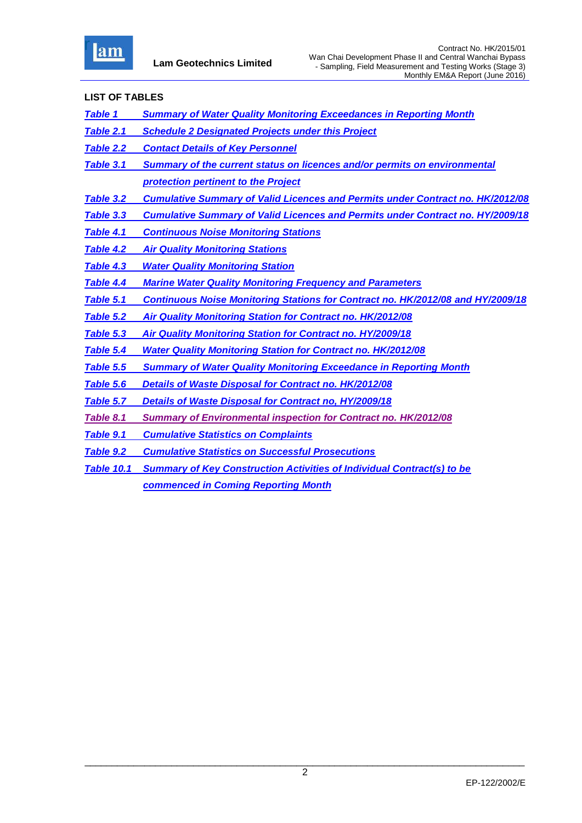

## **LIST OF TABLES**

- *Table 1 Summary of Water Quality Monitoring Exceedances in Reporting Month*
- *Table 2.1 Schedule 2 Designated Projects under this Project*
- *Table 2.2 Contact Details of Key Personnel*
- *Table 3.1 Summary of the current status on licences and/or permits on environmental protection pertinent to the Project*
- *Table 3.2 Cumulative Summary of Valid Licences and Permits under Contract no. HK/2012/08*
- *Table 3.3 Cumulative Summary of Valid Licences and Permits under Contract no. HY/2009/18*
- *Table 4.1 Continuous Noise Monitoring Stations*
- *Table 4.2 Air Quality Monitoring Stations*
- *Table 4.3 Water Quality Monitoring Station*
- *Table 4.4 Marine Water Quality Monitoring Frequency and Parameters*
- *Table 5.1 Continuous Noise Monitoring Stations for Contract no. HK/2012/08 and HY/2009/18*
- *Table 5.2 Air Quality Monitoring Station for Contract no. HK/2012/08*
- *Table 5.3 Air Quality Monitoring Station for Contract no. HY/2009/18*
- *Table 5.4 Water Quality Monitoring Station for Contract no. HK/2012/08*
- *Table 5.5 Summary of Water Quality Monitoring Exceedance in Reporting Month*
- *Table 5.6 Details of Waste Disposal for Contract no. HK/2012/08*

*Table 5.7 Details of Waste Disposal for Contract no, HY/2009/18*

- *Table 8.1 Summary of Environmental inspection for Contract no. HK/2012/08*
- *Table 9.1 Cumulative Statistics on Complaints*
- *Table 9.2 Cumulative Statistics on Successful Prosecutions*
- *Table 10.1 Summary of Key Construction Activities of Individual Contract(s) to be commenced in Coming Reporting Month*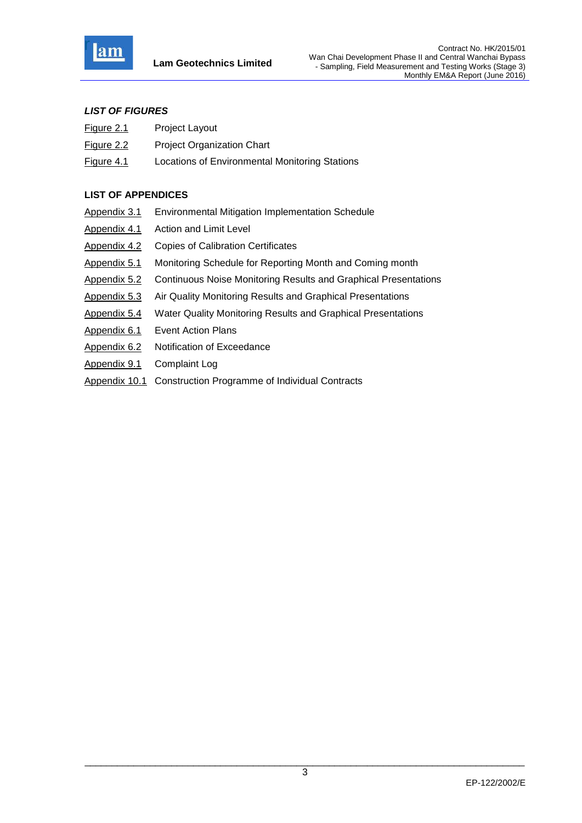

## *LIST OF FIGURES*

- Figure 2.1 Project Layout
- Figure 2.2 Project Organization Chart
- Figure 4.1 Locations of Environmental Monitoring Stations

## **LIST OF APPENDICES**

| Appendix 3.1  | Environmental Mitigation Implementation Schedule                       |
|---------------|------------------------------------------------------------------------|
| Appendix 4.1  | Action and Limit Level                                                 |
| Appendix 4.2  | <b>Copies of Calibration Certificates</b>                              |
| Appendix 5.1  | Monitoring Schedule for Reporting Month and Coming month               |
| Appendix 5.2  | <b>Continuous Noise Monitoring Results and Graphical Presentations</b> |
| Appendix 5.3  | Air Quality Monitoring Results and Graphical Presentations             |
| Appendix 5.4  | Water Quality Monitoring Results and Graphical Presentations           |
| Appendix 6.1  | <b>Event Action Plans</b>                                              |
| Appendix 6.2  | Notification of Exceedance                                             |
| Appendix 9.1  | <b>Complaint Log</b>                                                   |
| Appendix 10.1 | Construction Programme of Individual Contracts                         |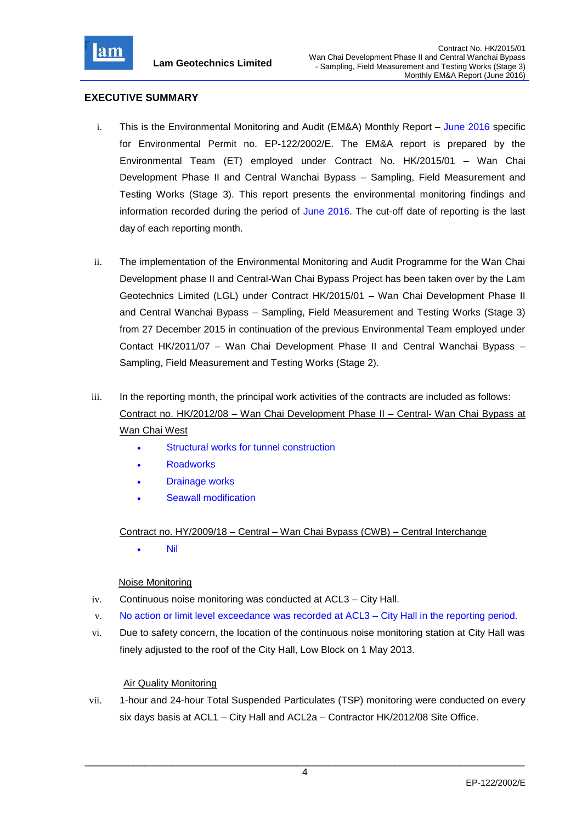

## **EXECUTIVE SUMMARY**

- i. This is the Environmental Monitoring and Audit (EM&A) Monthly Report June 2016 specific for Environmental Permit no. EP-122/2002/E. The EM&A report is prepared by the Environmental Team (ET) employed under Contract No. HK/2015/01 – Wan Chai Development Phase II and Central Wanchai Bypass – Sampling, Field Measurement and Testing Works (Stage 3). This report presents the environmental monitoring findings and information recorded during the period of June 2016. The cut-off date of reporting is the last day of each reporting month.
- ii. The implementation of the Environmental Monitoring and Audit Programme for the Wan Chai Development phase II and Central-Wan Chai Bypass Project has been taken over by the Lam Geotechnics Limited (LGL) under Contract HK/2015/01 – Wan Chai Development Phase II and Central Wanchai Bypass – Sampling, Field Measurement and Testing Works (Stage 3) from 27 December 2015 in continuation of the previous Environmental Team employed under Contact HK/2011/07 – Wan Chai Development Phase II and Central Wanchai Bypass – Sampling, Field Measurement and Testing Works (Stage 2).
- iii. In the reporting month, the principal work activities of the contracts are included as follows: Contract no. HK/2012/08 – Wan Chai Development Phase II – Central- Wan Chai Bypass at Wan Chai West
	- Structural works for tunnel construction
	- **Roadworks**
	- Drainage works
	- Seawall modification

## Contract no. HY/2009/18 – Central – Wan Chai Bypass (CWB) – Central Interchange

Nil

## Noise Monitoring

- iv. Continuous noise monitoring was conducted at ACL3 City Hall.
- v. No action or limit level exceedance was recorded at ACL3 City Hall in the reporting period.
- vi. Due to safety concern, the location of the continuous noise monitoring station at City Hall was finely adjusted to the roof of the City Hall, Low Block on 1 May 2013.

## Air Quality Monitoring

vii. 1-hour and 24-hour Total Suspended Particulates (TSP) monitoring were conducted on every six days basis at ACL1 – City Hall and ACL2a – Contractor HK/2012/08 Site Office.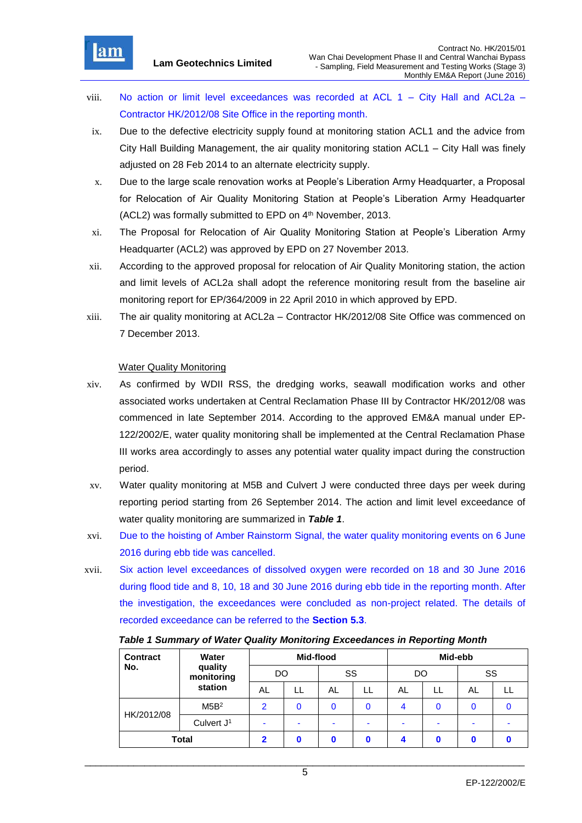

- viii. No action or limit level exceedances was recorded at ACL  $1 -$  City Hall and ACL2a Contractor HK/2012/08 Site Office in the reporting month.
- ix. Due to the defective electricity supply found at monitoring station ACL1 and the advice from City Hall Building Management, the air quality monitoring station ACL1 – City Hall was finely adjusted on 28 Feb 2014 to an alternate electricity supply.
- x. Due to the large scale renovation works at People's Liberation Army Headquarter, a Proposal for Relocation of Air Quality Monitoring Station at People's Liberation Army Headquarter (ACL2) was formally submitted to EPD on 4<sup>th</sup> November, 2013.
- xi. The Proposal for Relocation of Air Quality Monitoring Station at People's Liberation Army Headquarter (ACL2) was approved by EPD on 27 November 2013.
- xii. According to the approved proposal for relocation of Air Quality Monitoring station, the action and limit levels of ACL2a shall adopt the reference monitoring result from the baseline air monitoring report for EP/364/2009 in 22 April 2010 in which approved by EPD.
- xiii. The air quality monitoring at ACL2a Contractor HK/2012/08 Site Office was commenced on 7 December 2013.

## Water Quality Monitoring

- xiv. As confirmed by WDII RSS, the dredging works, seawall modification works and other associated works undertaken at Central Reclamation Phase III by Contractor HK/2012/08 was commenced in late September 2014. According to the approved EM&A manual under EP-122/2002/E, water quality monitoring shall be implemented at the Central Reclamation Phase III works area accordingly to asses any potential water quality impact during the construction period.
- xv. Water quality monitoring at M5B and Culvert J were conducted three days per week during reporting period starting from 26 September 2014. The action and limit level exceedance of water quality monitoring are summarized in *Table 1*.
- xvi. Due to the hoisting of Amber Rainstorm Signal, the water quality monitoring events on 6 June 2016 during ebb tide was cancelled.
- xvii. Six action level exceedances of dissolved oxygen were recorded on 18 and 30 June 2016 during flood tide and 8, 10, 18 and 30 June 2016 during ebb tide in the reporting month. After the investigation, the exceedances were concluded as non-project related. The details of recorded exceedance can be referred to the **Section 5.3**.

*Table 1 Summary of Water Quality Monitoring Exceedances in Reporting Month*

| <b>Contract</b> | Water                 |                          | Mid-flood |    |          |    |                                           |  |  |
|-----------------|-----------------------|--------------------------|-----------|----|----------|----|-------------------------------------------|--|--|
| No.             | quality<br>monitoring | DO                       |           | SS |          |    | Mid-ebb<br>SS<br>DO<br>AL<br>LL<br>0<br>۰ |  |  |
|                 | station               | AL                       |           | AL |          | AL |                                           |  |  |
| HK/2012/08      | M5B <sup>2</sup>      | 2                        |           | 0  | $\Omega$ | 4  |                                           |  |  |
|                 | Culvert $J1$          | $\overline{\phantom{a}}$ | ۰         | ۰  |          |    |                                           |  |  |
| <b>Total</b>    |                       | ົ                        |           |    | Ω        |    |                                           |  |  |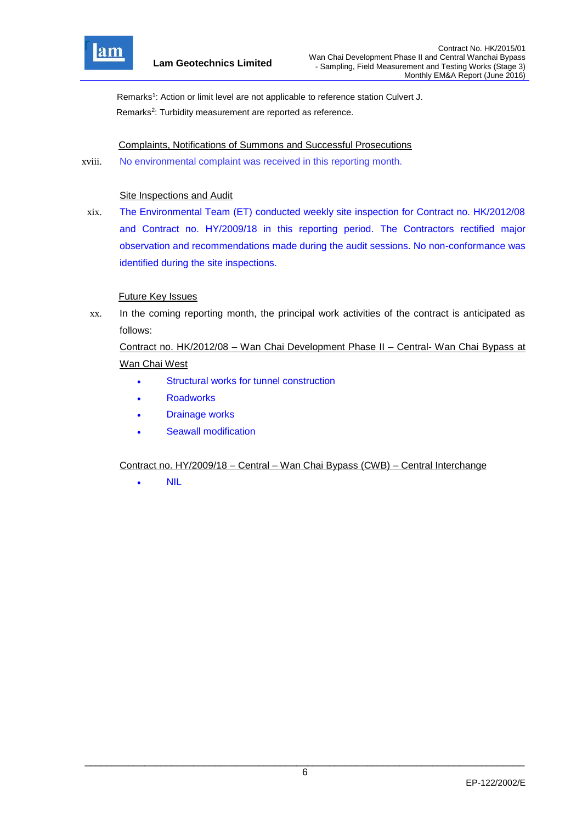

Remarks<sup>1</sup>: Action or limit level are not applicable to reference station Culvert J. Remarks<sup>2</sup>: Turbidity measurement are reported as reference.

## Complaints, Notifications of Summons and Successful Prosecutions

xviii. No environmental complaint was received in this reporting month.

#### Site Inspections and Audit

xix. The Environmental Team (ET) conducted weekly site inspection for Contract no. HK/2012/08 and Contract no. HY/2009/18 in this reporting period. The Contractors rectified major observation and recommendations made during the audit sessions. No non-conformance was identified during the site inspections.

## Future Key Issues

xx. In the coming reporting month, the principal work activities of the contract is anticipated as follows:

# Contract no. HK/2012/08 – Wan Chai Development Phase II – Central- Wan Chai Bypass at Wan Chai West

- Structural works for tunnel construction
- **Roadworks**
- Drainage works
- Seawall modification

## Contract no. HY/2009/18 – Central – Wan Chai Bypass (CWB) – Central Interchange

NIL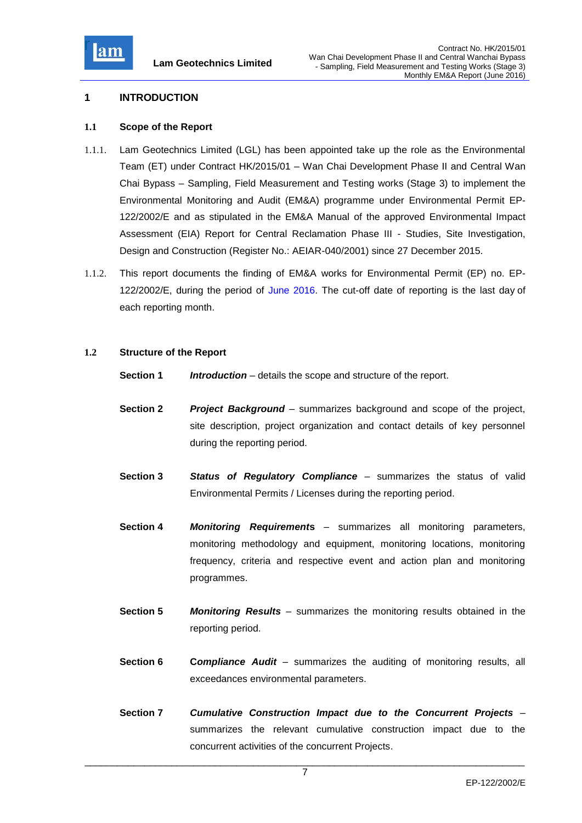

## **1 INTRODUCTION**

#### **1.1 Scope of the Report**

- 1.1.1. Lam Geotechnics Limited (LGL) has been appointed take up the role as the Environmental Team (ET) under Contract HK/2015/01 – Wan Chai Development Phase II and Central Wan Chai Bypass – Sampling, Field Measurement and Testing works (Stage 3) to implement the Environmental Monitoring and Audit (EM&A) programme under Environmental Permit EP-122/2002/E and as stipulated in the EM&A Manual of the approved Environmental Impact Assessment (EIA) Report for Central Reclamation Phase III - Studies, Site Investigation, Design and Construction (Register No.: AEIAR-040/2001) since 27 December 2015.
- 1.1.2. This report documents the finding of EM&A works for Environmental Permit (EP) no. EP-122/2002/E, during the period of June 2016. The cut-off date of reporting is the last day of each reporting month.

## **1.2 Structure of the Report**

- **Section 1** *Introduction* details the scope and structure of the report.
- **Section 2** *Project Background* summarizes background and scope of the project, site description, project organization and contact details of key personnel during the reporting period.
- **Section 3** *Status of Regulatory Compliance* summarizes the status of valid Environmental Permits / Licenses during the reporting period.
- **Section 4** *Monitoring Requirement***s** summarizes all monitoring parameters, monitoring methodology and equipment, monitoring locations, monitoring frequency, criteria and respective event and action plan and monitoring programmes.
- **Section 5** *Monitoring Results* summarizes the monitoring results obtained in the reporting period.
- **Section 6 C***ompliance Audit* summarizes the auditing of monitoring results, all exceedances environmental parameters.
- **Section 7** *Cumulative Construction Impact due to the Concurrent Projects*  summarizes the relevant cumulative construction impact due to the concurrent activities of the concurrent Projects.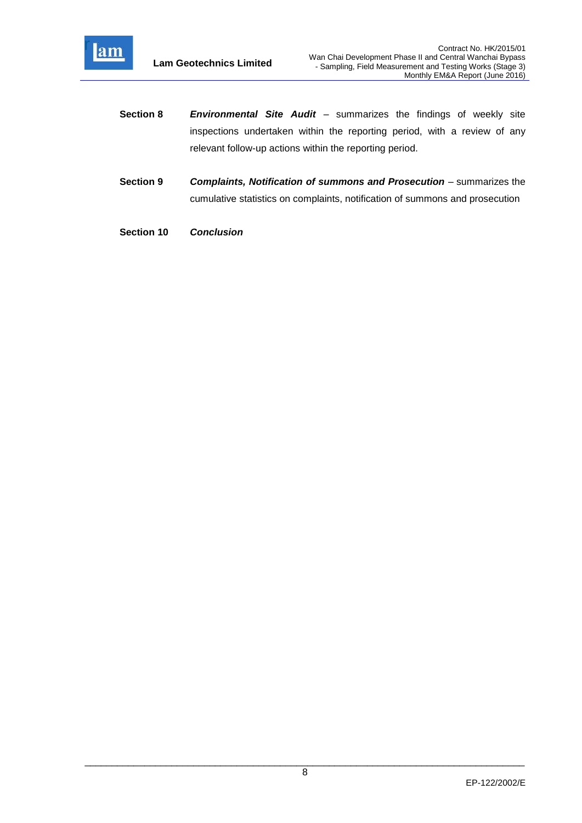

- **Section 8** *Environmental Site Audit* summarizes the findings of weekly site inspections undertaken within the reporting period, with a review of any relevant follow-up actions within the reporting period.
- **Section 9** *Complaints, Notification of summons and Prosecution summarizes the* cumulative statistics on complaints, notification of summons and prosecution
- **Section 10** *Conclusion*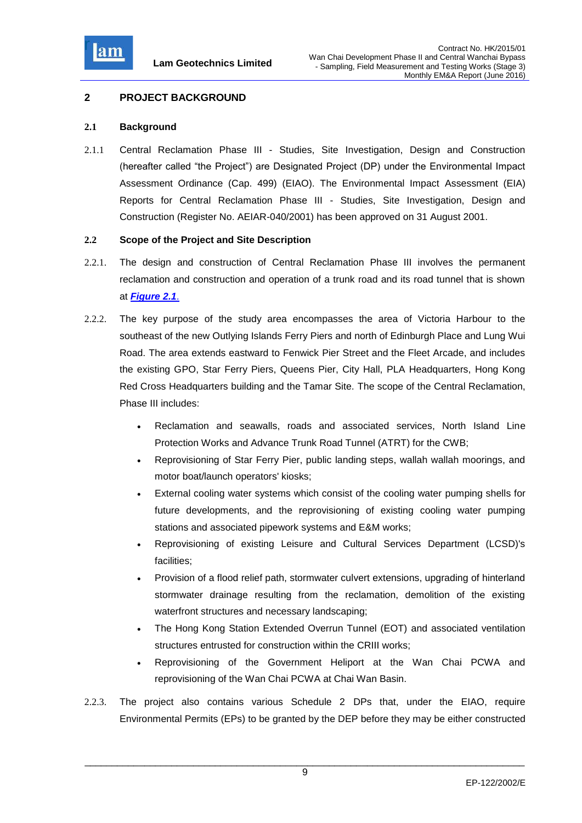

## **2 PROJECT BACKGROUND**

#### **2.1 Background**

2.1.1 Central Reclamation Phase III - Studies, Site Investigation, Design and Construction (hereafter called "the Project") are Designated Project (DP) under the Environmental Impact Assessment Ordinance (Cap. 499) (EIAO). The Environmental Impact Assessment (EIA) Reports for Central Reclamation Phase III - Studies, Site Investigation, Design and Construction (Register No. AEIAR-040/2001) has been approved on 31 August 2001.

## **2.2 Scope of the Project and Site Description**

- 2.2.1. The design and construction of Central Reclamation Phase III involves the permanent reclamation and construction and operation of a trunk road and its road tunnel that is shown at *Figure 2.1*.
- 2.2.2. The key purpose of the study area encompasses the area of Victoria Harbour to the southeast of the new Outlying Islands Ferry Piers and north of Edinburgh Place and Lung Wui Road. The area extends eastward to Fenwick Pier Street and the Fleet Arcade, and includes the existing GPO, Star Ferry Piers, Queens Pier, City Hall, PLA Headquarters, Hong Kong Red Cross Headquarters building and the Tamar Site. The scope of the Central Reclamation, Phase III includes:
	- Reclamation and seawalls, roads and associated services, North Island Line Protection Works and Advance Trunk Road Tunnel (ATRT) for the CWB;
	- Reprovisioning of Star Ferry Pier, public landing steps, wallah wallah moorings, and motor boat/launch operators' kiosks;
	- External cooling water systems which consist of the cooling water pumping shells for future developments, and the reprovisioning of existing cooling water pumping stations and associated pipework systems and E&M works;
	- Reprovisioning of existing Leisure and Cultural Services Department (LCSD)'s facilities;
	- Provision of a flood relief path, stormwater culvert extensions, upgrading of hinterland stormwater drainage resulting from the reclamation, demolition of the existing waterfront structures and necessary landscaping;
	- The Hong Kong Station Extended Overrun Tunnel (EOT) and associated ventilation structures entrusted for construction within the CRIII works;
	- Reprovisioning of the Government Heliport at the Wan Chai PCWA and reprovisioning of the Wan Chai PCWA at Chai Wan Basin.
- 2.2.3. The project also contains various Schedule 2 DPs that, under the EIAO, require Environmental Permits (EPs) to be granted by the DEP before they may be either constructed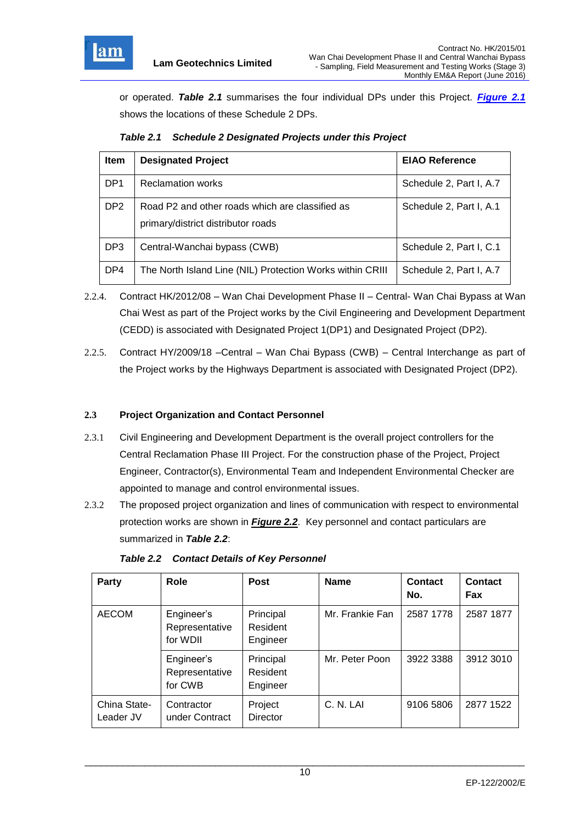

or operated. *Table 2.1* summarises the four individual DPs under this Project. *Figure 2.1* shows the locations of these Schedule 2 DPs.

*Table 2.1 Schedule 2 Designated Projects under this Project*

| <b>Item</b>     | <b>Designated Project</b>                                                             | <b>EIAO Reference</b>   |
|-----------------|---------------------------------------------------------------------------------------|-------------------------|
| DP <sub>1</sub> | <b>Reclamation works</b>                                                              | Schedule 2, Part I, A.7 |
| DP <sub>2</sub> | Road P2 and other roads which are classified as<br>primary/district distributor roads | Schedule 2, Part I, A.1 |
| DP <sub>3</sub> | Central-Wanchai bypass (CWB)                                                          | Schedule 2, Part I, C.1 |
| DP4             | The North Island Line (NIL) Protection Works within CRIII                             | Schedule 2, Part I, A.7 |

- 2.2.4. Contract HK/2012/08 Wan Chai Development Phase II Central- Wan Chai Bypass at Wan Chai West as part of the Project works by the Civil Engineering and Development Department (CEDD) is associated with Designated Project 1(DP1) and Designated Project (DP2).
- 2.2.5. Contract HY/2009/18 –Central Wan Chai Bypass (CWB) Central Interchange as part of the Project works by the Highways Department is associated with Designated Project (DP2).

## **2.3 Project Organization and Contact Personnel**

- 2.3.1 Civil Engineering and Development Department is the overall project controllers for the Central Reclamation Phase III Project. For the construction phase of the Project, Project Engineer, Contractor(s), Environmental Team and Independent Environmental Checker are appointed to manage and control environmental issues.
- 2.3.2 The proposed project organization and lines of communication with respect to environmental protection works are shown in *Figure 2.2*. Key personnel and contact particulars are summarized in *Table 2.2*:

| Party                     | Role                                     | <b>Post</b>                       | <b>Name</b>     | Contact<br>No. | Contact<br>Fax |
|---------------------------|------------------------------------------|-----------------------------------|-----------------|----------------|----------------|
| <b>AECOM</b>              | Engineer's<br>Representative<br>for WDII | Principal<br>Resident<br>Engineer | Mr. Frankie Fan | 2587 1778      | 2587 1877      |
|                           | Engineer's<br>Representative<br>for CWB  | Principal<br>Resident<br>Engineer | Mr. Peter Poon  | 3922 3388      | 3912 3010      |
| China State-<br>Leader JV | Contractor<br>under Contract             | Project<br><b>Director</b>        | C. N. LAI       | 9106 5806      | 2877 1522      |

*Table 2.2 Contact Details of Key Personnel*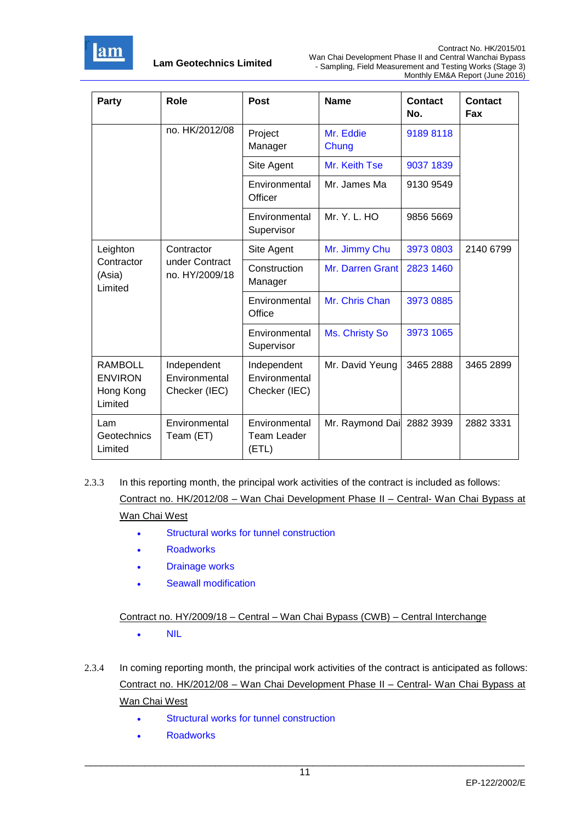

| Party                                                    | Role                                          | <b>Post</b>                                   | <b>Name</b>        | Contact<br>No. | Contact<br>Fax |
|----------------------------------------------------------|-----------------------------------------------|-----------------------------------------------|--------------------|----------------|----------------|
|                                                          | no. HK/2012/08                                | Project<br>Manager                            | Mr. Eddie<br>Chung | 91898118       |                |
|                                                          |                                               | Site Agent                                    | Mr. Keith Tse      | 9037 1839      |                |
|                                                          |                                               | Environmental<br>Officer                      | Mr. James Ma       | 9130 9549      |                |
|                                                          |                                               | Environmental<br>Supervisor                   | Mr. Y. L. HO       | 9856 5669      |                |
| Leighton                                                 | Contractor                                    | Site Agent                                    | Mr. Jimmy Chu      | 3973 0803      | 2140 6799      |
| Contractor<br>(Asia)<br>Limited                          | under Contract<br>no. HY/2009/18              | Construction<br>Manager                       | Mr. Darren Grant   | 2823 1460      |                |
|                                                          |                                               | Environmental<br>Office                       | Mr. Chris Chan     | 3973 0885      |                |
|                                                          |                                               | Environmental<br>Supervisor                   | Ms. Christy So     | 3973 1065      |                |
| <b>RAMBOLL</b><br><b>ENVIRON</b><br>Hong Kong<br>Limited | Independent<br>Environmental<br>Checker (IEC) | Independent<br>Environmental<br>Checker (IEC) | Mr. David Yeung    | 3465 2888      | 3465 2899      |
| Lam<br>Geotechnics<br>Limited                            | Environmental<br>Team (ET)                    | Environmental<br><b>Team Leader</b><br>(ETL)  | Mr. Raymond Dai    | 2882 3939      | 2882 3331      |

# 2.3.3 In this reporting month, the principal work activities of the contract is included as follows: Contract no. HK/2012/08 – Wan Chai Development Phase II – Central- Wan Chai Bypass at Wan Chai West

- Structural works for tunnel construction
- **Roadworks**
- Drainage works
- Seawall modification

Contract no. HY/2009/18 – Central – Wan Chai Bypass (CWB) – Central Interchange

- NIL
- 2.3.4 In coming reporting month, the principal work activities of the contract is anticipated as follows: Contract no. HK/2012/08 – Wan Chai Development Phase II – Central- Wan Chai Bypass at Wan Chai West
	- Structural works for tunnel construction
	- **Roadworks**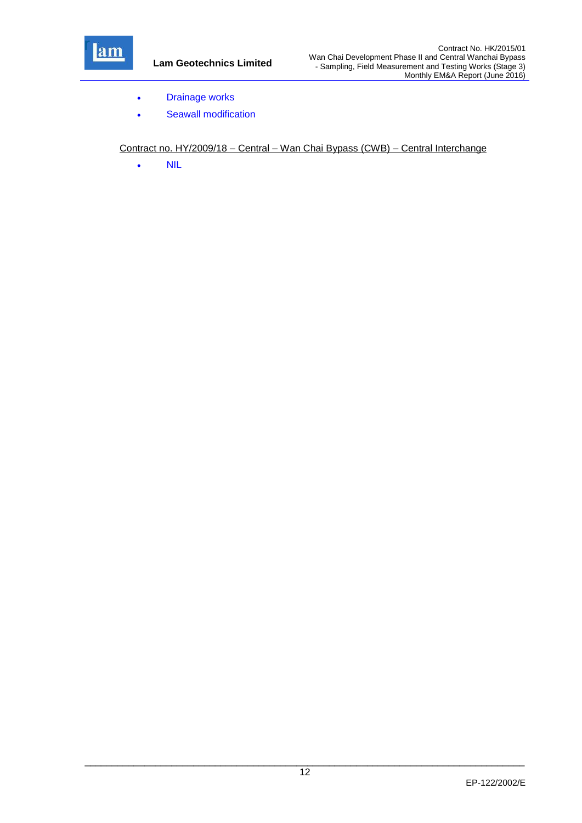

- Drainage works
- Seawall modification

Contract no. HY/2009/18 – Central – Wan Chai Bypass (CWB) – Central Interchange

• NIL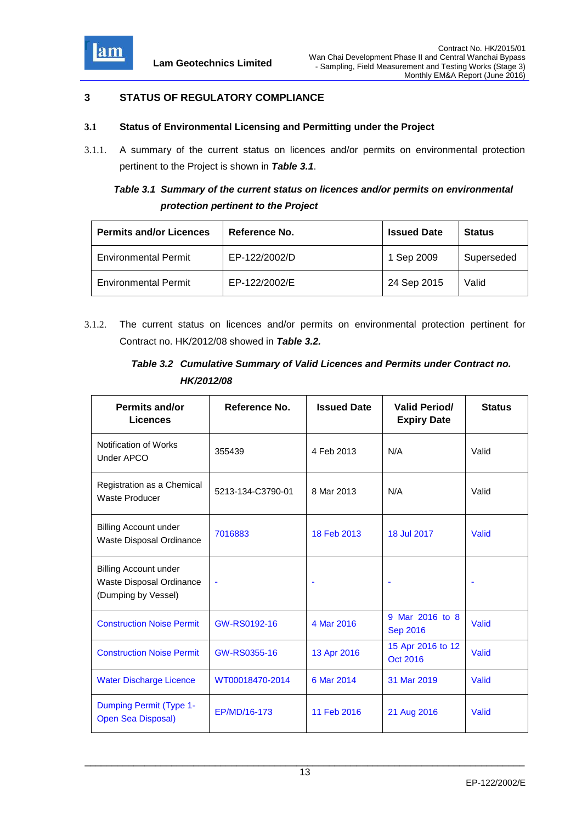

## **3 STATUS OF REGULATORY COMPLIANCE**

## **3.1 Status of Environmental Licensing and Permitting under the Project**

3.1.1. A summary of the current status on licences and/or permits on environmental protection pertinent to the Project is shown in *Table 3.1*.

# *Table 3.1 Summary of the current status on licences and/or permits on environmental protection pertinent to the Project*

| <b>Permits and/or Licences</b> | Reference No. | <b>Issued Date</b> | <b>Status</b> |
|--------------------------------|---------------|--------------------|---------------|
| <b>Environmental Permit</b>    | EP-122/2002/D | 1 Sep 2009         | Superseded    |
| <b>Environmental Permit</b>    | EP-122/2002/E | 24 Sep 2015        | Valid         |

3.1.2. The current status on licences and/or permits on environmental protection pertinent for Contract no. HK/2012/08 showed in *Table 3.2.*

# *Table 3.2 Cumulative Summary of Valid Licences and Permits under Contract no. HK/2012/08*

| <b>Permits and/or</b><br><b>Licences</b>                                        | Reference No.     | <b>Issued Date</b> | <b>Valid Period/</b><br><b>Expiry Date</b> | <b>Status</b> |
|---------------------------------------------------------------------------------|-------------------|--------------------|--------------------------------------------|---------------|
| Notification of Works<br>Under APCO                                             | 355439            | 4 Feb 2013         | N/A                                        | Valid         |
| Registration as a Chemical<br><b>Waste Producer</b>                             | 5213-134-C3790-01 | 8 Mar 2013         | N/A                                        | Valid         |
| <b>Billing Account under</b><br>Waste Disposal Ordinance                        | 7016883           | 18 Feb 2013        | 18 Jul 2017                                | Valid         |
| <b>Billing Account under</b><br>Waste Disposal Ordinance<br>(Dumping by Vessel) |                   |                    |                                            |               |
| <b>Construction Noise Permit</b>                                                | GW-RS0192-16      | 4 Mar 2016         | 9 Mar 2016 to 8<br><b>Sep 2016</b>         | Valid         |
| <b>Construction Noise Permit</b>                                                | GW-RS0355-16      | 13 Apr 2016        | 15 Apr 2016 to 12<br>Oct 2016              | Valid         |
| <b>Water Discharge Licence</b>                                                  | WT00018470-2014   | 6 Mar 2014         | 31 Mar 2019                                | Valid         |
| Dumping Permit (Type 1-<br><b>Open Sea Disposal)</b>                            | EP/MD/16-173      | 11 Feb 2016        | 21 Aug 2016                                | Valid         |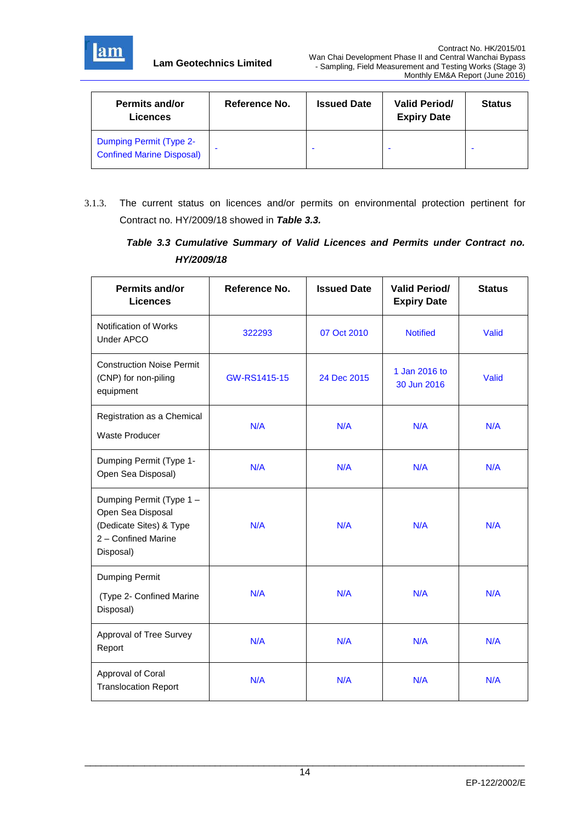

| <b>Permits and/or</b><br>Licences                                  | Reference No. | <b>Issued Date</b> | <b>Valid Period/</b><br><b>Expiry Date</b> | <b>Status</b> |
|--------------------------------------------------------------------|---------------|--------------------|--------------------------------------------|---------------|
| <b>Dumping Permit (Type 2-</b><br><b>Confined Marine Disposal)</b> |               |                    |                                            |               |

3.1.3. The current status on licences and/or permits on environmental protection pertinent for Contract no. HY/2009/18 showed in *Table 3.3.*

*Table 3.3 Cumulative Summary of Valid Licences and Permits under Contract no. HY/2009/18*

| <b>Permits and/or</b><br><b>Licences</b>                                                                     | Reference No. | <b>Issued Date</b> | <b>Valid Period/</b><br><b>Expiry Date</b> | <b>Status</b> |
|--------------------------------------------------------------------------------------------------------------|---------------|--------------------|--------------------------------------------|---------------|
| Notification of Works<br>Under APCO                                                                          | 322293        | 07 Oct 2010        | <b>Notified</b>                            | Valid         |
| <b>Construction Noise Permit</b><br>(CNP) for non-piling<br>equipment                                        | GW-RS1415-15  | 24 Dec 2015        | 1 Jan 2016 to<br>30 Jun 2016               | Valid         |
| Registration as a Chemical<br><b>Waste Producer</b>                                                          | N/A           | N/A                | N/A                                        | N/A           |
| Dumping Permit (Type 1-<br>Open Sea Disposal)                                                                | N/A           | N/A                | N/A                                        | N/A           |
| Dumping Permit (Type 1 -<br>Open Sea Disposal<br>(Dedicate Sites) & Type<br>2 - Confined Marine<br>Disposal) | N/A           | N/A                | N/A                                        | N/A           |
| Dumping Permit<br>(Type 2- Confined Marine<br>Disposal)                                                      | N/A           | N/A                | N/A                                        | N/A           |
| Approval of Tree Survey<br>Report                                                                            | N/A           | N/A                | N/A                                        | N/A           |
| Approval of Coral<br><b>Translocation Report</b>                                                             | N/A           | N/A                | N/A                                        | N/A           |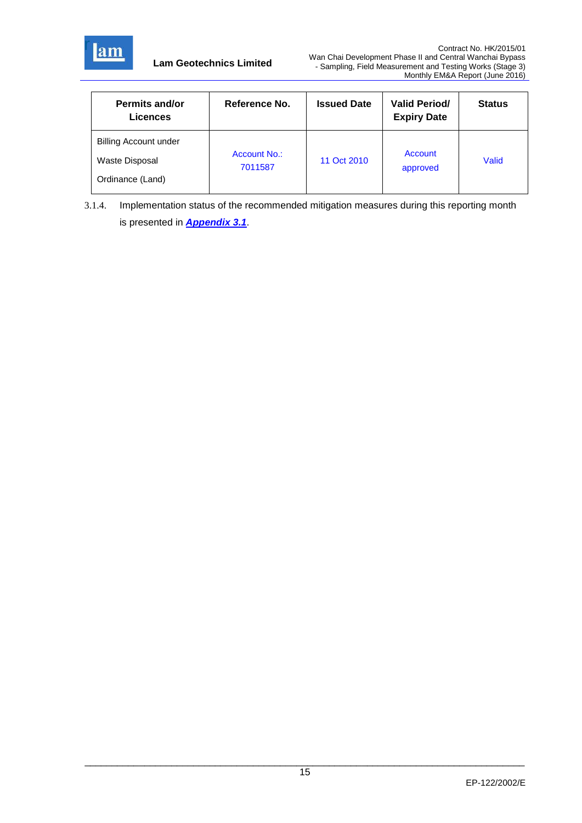

| <b>Permits and/or</b><br>Licences  | Reference No. | <b>Issued Date</b> | <b>Valid Period/</b><br><b>Expiry Date</b> | <b>Status</b> |
|------------------------------------|---------------|--------------------|--------------------------------------------|---------------|
| <b>Billing Account under</b>       | Account No.:  |                    | Account                                    |               |
| Waste Disposal<br>Ordinance (Land) | 7011587       | 11 Oct 2010        | approved                                   | Valid         |
|                                    |               |                    |                                            |               |

3.1.4. Implementation status of the recommended mitigation measures during this reporting month is presented in *Appendix 3.1*.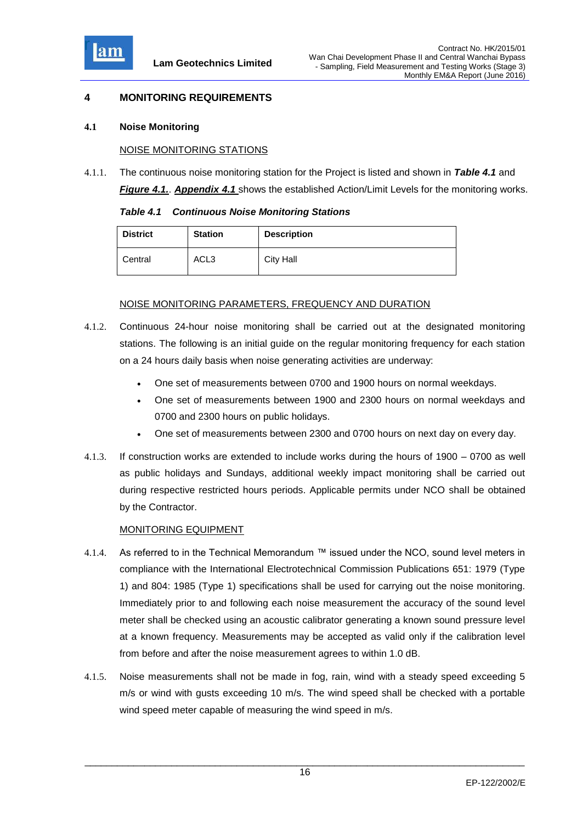

## **4 MONITORING REQUIREMENTS**

#### **4.1 Noise Monitoring**

#### NOISE MONITORING STATIONS

4.1.1. The continuous noise monitoring station for the Project is listed and shown in *Table 4.1* and *Figure 4.1.*. *Appendix 4.1* shows the established Action/Limit Levels for the monitoring works.

| <b>Table 4.1 Continuous Noise Monitoring Stations</b> |
|-------------------------------------------------------|
|-------------------------------------------------------|

| <b>District</b> | <b>Station</b>   | <b>Description</b> |
|-----------------|------------------|--------------------|
| Central         | ACL <sub>3</sub> | <b>City Hall</b>   |

#### NOISE MONITORING PARAMETERS, FREQUENCY AND DURATION

- 4.1.2. Continuous 24-hour noise monitoring shall be carried out at the designated monitoring stations. The following is an initial guide on the regular monitoring frequency for each station on a 24 hours daily basis when noise generating activities are underway:
	- One set of measurements between 0700 and 1900 hours on normal weekdays.
	- One set of measurements between 1900 and 2300 hours on normal weekdays and 0700 and 2300 hours on public holidays.
	- One set of measurements between 2300 and 0700 hours on next day on every day.
- 4.1.3. If construction works are extended to include works during the hours of 1900 0700 as well as public holidays and Sundays, additional weekly impact monitoring shall be carried out during respective restricted hours periods. Applicable permits under NCO shall be obtained by the Contractor.

## MONITORING EQUIPMENT

- 4.1.4. As referred to in the Technical Memorandum ™ issued under the NCO, sound level meters in compliance with the International Electrotechnical Commission Publications 651: 1979 (Type 1) and 804: 1985 (Type 1) specifications shall be used for carrying out the noise monitoring. Immediately prior to and following each noise measurement the accuracy of the sound level meter shall be checked using an acoustic calibrator generating a known sound pressure level at a known frequency. Measurements may be accepted as valid only if the calibration level from before and after the noise measurement agrees to within 1.0 dB.
- 4.1.5. Noise measurements shall not be made in fog, rain, wind with a steady speed exceeding 5 m/s or wind with gusts exceeding 10 m/s. The wind speed shall be checked with a portable wind speed meter capable of measuring the wind speed in m/s.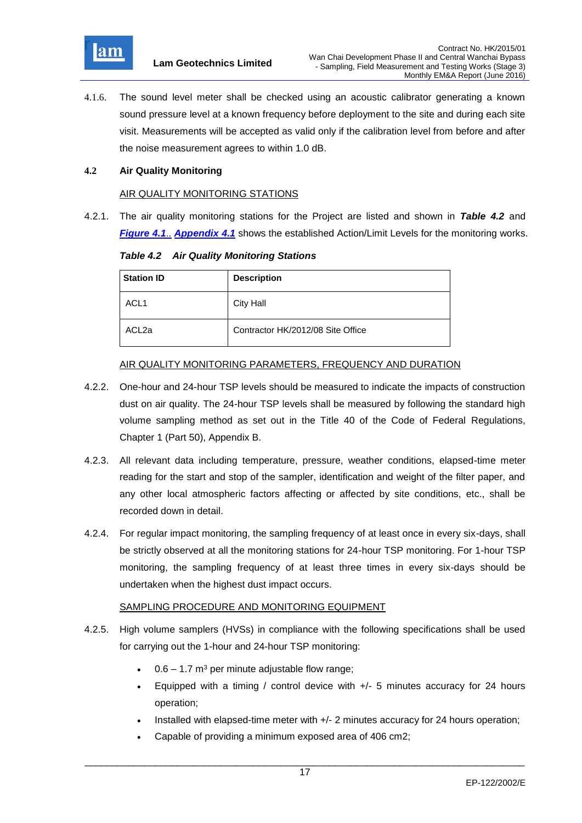

4.1.6. The sound level meter shall be checked using an acoustic calibrator generating a known sound pressure level at a known frequency before deployment to the site and during each site visit. Measurements will be accepted as valid only if the calibration level from before and after the noise measurement agrees to within 1.0 dB.

## **4.2 Air Quality Monitoring**

#### AIR QUALITY MONITORING STATIONS

4.2.1. The air quality monitoring stations for the Project are listed and shown in *Table 4.2* and *Figure 4.1*.. *Appendix 4.1* shows the established Action/Limit Levels for the monitoring works.

*Table 4.2 Air Quality Monitoring Stations*

| <b>Station ID</b> | <b>Description</b>                |
|-------------------|-----------------------------------|
| ACL <sub>1</sub>  | <b>City Hall</b>                  |
| ACL <sub>2a</sub> | Contractor HK/2012/08 Site Office |

#### AIR QUALITY MONITORING PARAMETERS, FREQUENCY AND DURATION

- 4.2.2. One-hour and 24-hour TSP levels should be measured to indicate the impacts of construction dust on air quality. The 24-hour TSP levels shall be measured by following the standard high volume sampling method as set out in the Title 40 of the Code of Federal Regulations, Chapter 1 (Part 50), Appendix B.
- 4.2.3. All relevant data including temperature, pressure, weather conditions, elapsed-time meter reading for the start and stop of the sampler, identification and weight of the filter paper, and any other local atmospheric factors affecting or affected by site conditions, etc., shall be recorded down in detail.
- 4.2.4. For regular impact monitoring, the sampling frequency of at least once in every six-days, shall be strictly observed at all the monitoring stations for 24-hour TSP monitoring. For 1-hour TSP monitoring, the sampling frequency of at least three times in every six-days should be undertaken when the highest dust impact occurs.

#### SAMPLING PROCEDURE AND MONITORING EQUIPMENT

- 4.2.5. High volume samplers (HVSs) in compliance with the following specifications shall be used for carrying out the 1-hour and 24-hour TSP monitoring:
	- $0.6 1.7$  m<sup>3</sup> per minute adjustable flow range;
	- Equipped with a timing / control device with  $+/-$  5 minutes accuracy for 24 hours operation;
	- Installed with elapsed-time meter with +/- 2 minutes accuracy for 24 hours operation;
	- Capable of providing a minimum exposed area of 406 cm2;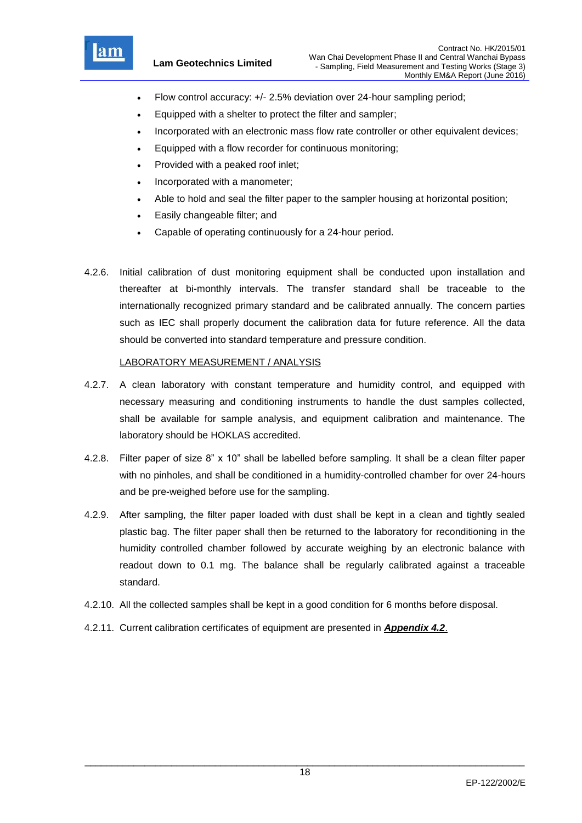

- Flow control accuracy: +/- 2.5% deviation over 24-hour sampling period;
- Equipped with a shelter to protect the filter and sampler;
- Incorporated with an electronic mass flow rate controller or other equivalent devices;
- Equipped with a flow recorder for continuous monitoring;
- Provided with a peaked roof inlet;
- Incorporated with a manometer;
- Able to hold and seal the filter paper to the sampler housing at horizontal position;
- Easily changeable filter; and
- Capable of operating continuously for a 24-hour period.
- 4.2.6. Initial calibration of dust monitoring equipment shall be conducted upon installation and thereafter at bi-monthly intervals. The transfer standard shall be traceable to the internationally recognized primary standard and be calibrated annually. The concern parties such as IEC shall properly document the calibration data for future reference. All the data should be converted into standard temperature and pressure condition.

#### LABORATORY MEASUREMENT / ANALYSIS

- 4.2.7. A clean laboratory with constant temperature and humidity control, and equipped with necessary measuring and conditioning instruments to handle the dust samples collected, shall be available for sample analysis, and equipment calibration and maintenance. The laboratory should be HOKLAS accredited.
- 4.2.8. Filter paper of size 8" x 10" shall be labelled before sampling. It shall be a clean filter paper with no pinholes, and shall be conditioned in a humidity-controlled chamber for over 24-hours and be pre-weighed before use for the sampling.
- 4.2.9. After sampling, the filter paper loaded with dust shall be kept in a clean and tightly sealed plastic bag. The filter paper shall then be returned to the laboratory for reconditioning in the humidity controlled chamber followed by accurate weighing by an electronic balance with readout down to 0.1 mg. The balance shall be regularly calibrated against a traceable standard.
- 4.2.10. All the collected samples shall be kept in a good condition for 6 months before disposal.
- 4.2.11. Current calibration certificates of equipment are presented in *Appendix 4.2*.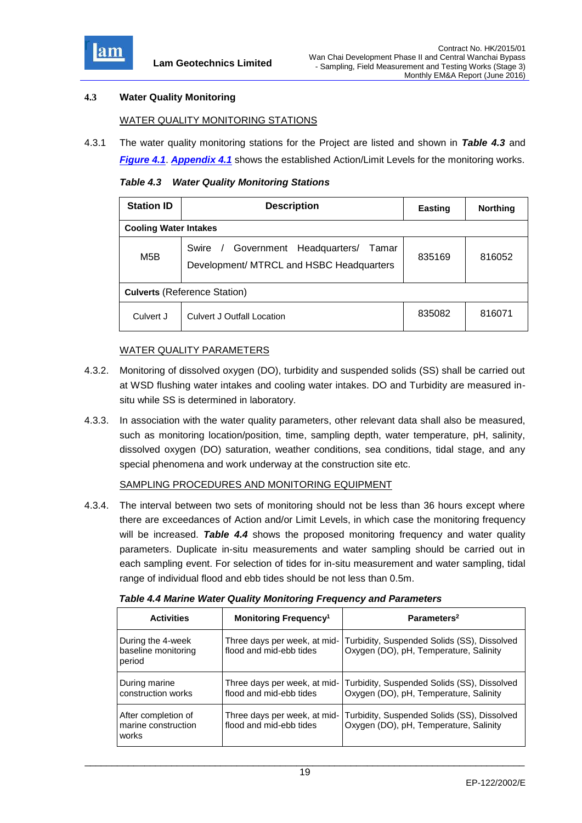

## **4.3 Water Quality Monitoring**

## WATER QUALITY MONITORING STATIONS

4.3.1 The water quality monitoring stations for the Project are listed and shown in *Table 4.3* and *Figure 4.1*. *Appendix 4.1* shows the established Action/Limit Levels for the monitoring works.

*Table 4.3 Water Quality Monitoring Stations*

| <b>Station ID</b>                   | <b>Description</b>                                                                    | <b>Easting</b> | <b>Northing</b> |  |  |  |
|-------------------------------------|---------------------------------------------------------------------------------------|----------------|-----------------|--|--|--|
|                                     | <b>Cooling Water Intakes</b>                                                          |                |                 |  |  |  |
| M5B                                 | Swire / Government Headquarters/<br>Tamar<br>Development/ MTRCL and HSBC Headquarters | 835169         | 816052          |  |  |  |
| <b>Culverts (Reference Station)</b> |                                                                                       |                |                 |  |  |  |
| Culvert J                           | <b>Culvert J Outfall Location</b>                                                     | 835082         | 816071          |  |  |  |

#### WATER QUALITY PARAMETERS

- 4.3.2. Monitoring of dissolved oxygen (DO), turbidity and suspended solids (SS) shall be carried out at WSD flushing water intakes and cooling water intakes. DO and Turbidity are measured insitu while SS is determined in laboratory.
- 4.3.3. In association with the water quality parameters, other relevant data shall also be measured, such as monitoring location/position, time, sampling depth, water temperature, pH, salinity, dissolved oxygen (DO) saturation, weather conditions, sea conditions, tidal stage, and any special phenomena and work underway at the construction site etc.

#### SAMPLING PROCEDURES AND MONITORING EQUIPMENT

4.3.4. The interval between two sets of monitoring should not be less than 36 hours except where there are exceedances of Action and/or Limit Levels, in which case the monitoring frequency will be increased. *Table 4.4* shows the proposed monitoring frequency and water quality parameters. Duplicate in-situ measurements and water sampling should be carried out in each sampling event. For selection of tides for in-situ measurement and water sampling, tidal range of individual flood and ebb tides should be not less than 0.5m.

| <b>Activities</b>                                   | Monitoring Frequency <sup>1</sup>                       | Parameters <sup>2</sup>                                                               |
|-----------------------------------------------------|---------------------------------------------------------|---------------------------------------------------------------------------------------|
| During the 4-week<br>baseline monitoring<br>period  | Three days per week, at mid-<br>flood and mid-ebb tides | Turbidity, Suspended Solids (SS), Dissolved<br>Oxygen (DO), pH, Temperature, Salinity |
| During marine<br>construction works                 | Three days per week, at mid-<br>flood and mid-ebb tides | Turbidity, Suspended Solids (SS), Dissolved<br>Oxygen (DO), pH, Temperature, Salinity |
| After completion of<br>marine construction<br>works | Three days per week, at mid-<br>flood and mid-ebb tides | Turbidity, Suspended Solids (SS), Dissolved<br>Oxygen (DO), pH, Temperature, Salinity |

*Table 4.4 Marine Water Quality Monitoring Frequency and Parameters*

\_\_\_\_\_\_\_\_\_\_\_\_\_\_\_\_\_\_\_\_\_\_\_\_\_\_\_\_\_\_\_\_\_\_\_\_\_\_\_\_\_\_\_\_\_\_\_\_\_\_\_\_\_\_\_\_\_\_\_\_\_\_\_\_\_\_\_\_\_\_\_\_\_\_\_\_\_\_\_\_\_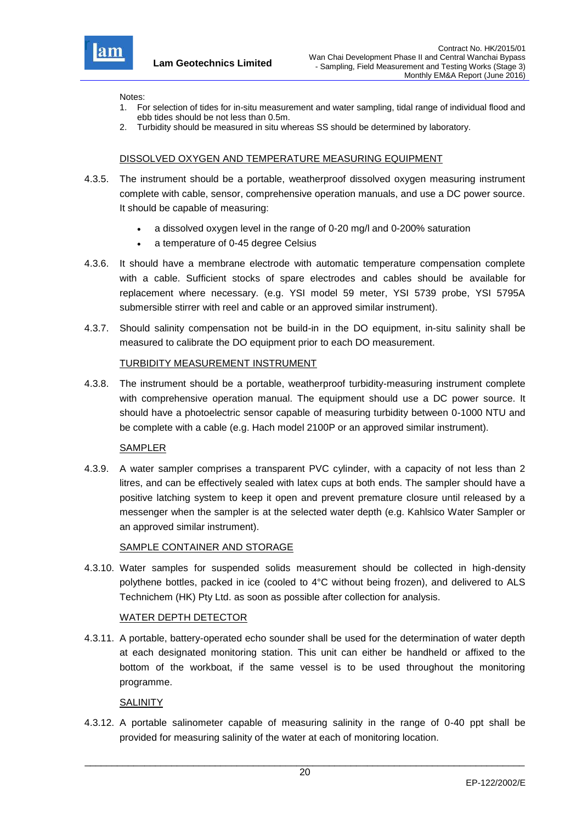

Notes:

- 1. For selection of tides for in-situ measurement and water sampling, tidal range of individual flood and ebb tides should be not less than 0.5m.
- 2. Turbidity should be measured in situ whereas SS should be determined by laboratory.

## DISSOLVED OXYGEN AND TEMPERATURE MEASURING EQUIPMENT

- 4.3.5. The instrument should be a portable, weatherproof dissolved oxygen measuring instrument complete with cable, sensor, comprehensive operation manuals, and use a DC power source. It should be capable of measuring:
	- a dissolved oxygen level in the range of 0-20 mg/l and 0-200% saturation
	- a temperature of 0-45 degree Celsius
- 4.3.6. It should have a membrane electrode with automatic temperature compensation complete with a cable. Sufficient stocks of spare electrodes and cables should be available for replacement where necessary. (e.g. YSI model 59 meter, YSI 5739 probe, YSI 5795A submersible stirrer with reel and cable or an approved similar instrument).
- 4.3.7. Should salinity compensation not be build-in in the DO equipment, in-situ salinity shall be measured to calibrate the DO equipment prior to each DO measurement.

#### TURBIDITY MEASUREMENT INSTRUMENT

4.3.8. The instrument should be a portable, weatherproof turbidity-measuring instrument complete with comprehensive operation manual. The equipment should use a DC power source. It should have a photoelectric sensor capable of measuring turbidity between 0-1000 NTU and be complete with a cable (e.g. Hach model 2100P or an approved similar instrument).

#### SAMPLER

4.3.9. A water sampler comprises a transparent PVC cylinder, with a capacity of not less than 2 litres, and can be effectively sealed with latex cups at both ends. The sampler should have a positive latching system to keep it open and prevent premature closure until released by a messenger when the sampler is at the selected water depth (e.g. Kahlsico Water Sampler or an approved similar instrument).

#### SAMPLE CONTAINER AND STORAGE

4.3.10. Water samples for suspended solids measurement should be collected in high-density polythene bottles, packed in ice (cooled to 4°C without being frozen), and delivered to ALS Technichem (HK) Pty Ltd. as soon as possible after collection for analysis.

#### WATER DEPTH DETECTOR

4.3.11. A portable, battery-operated echo sounder shall be used for the determination of water depth at each designated monitoring station. This unit can either be handheld or affixed to the bottom of the workboat, if the same vessel is to be used throughout the monitoring programme.

#### **SALINITY**

4.3.12. A portable salinometer capable of measuring salinity in the range of 0-40 ppt shall be provided for measuring salinity of the water at each of monitoring location.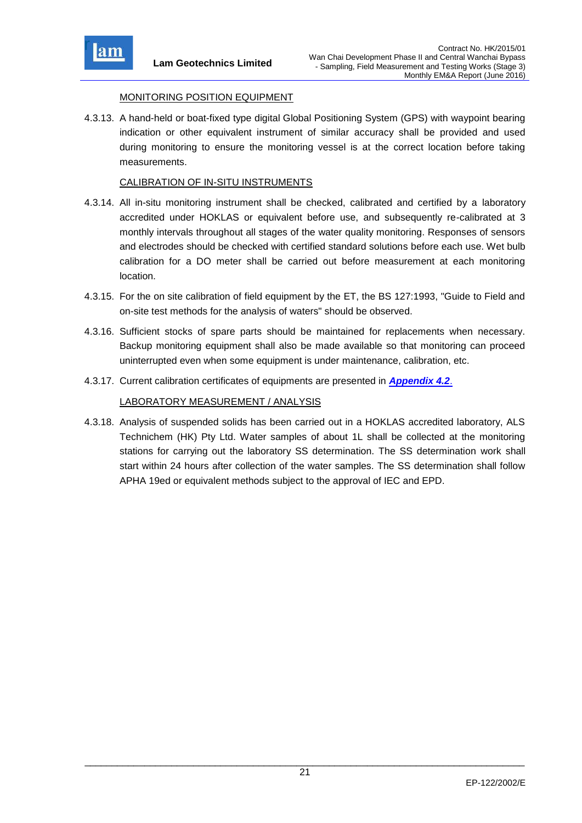

## MONITORING POSITION EQUIPMENT

4.3.13. A hand-held or boat-fixed type digital Global Positioning System (GPS) with waypoint bearing indication or other equivalent instrument of similar accuracy shall be provided and used during monitoring to ensure the monitoring vessel is at the correct location before taking measurements.

#### CALIBRATION OF IN-SITU INSTRUMENTS

- 4.3.14. All in-situ monitoring instrument shall be checked, calibrated and certified by a laboratory accredited under HOKLAS or equivalent before use, and subsequently re-calibrated at 3 monthly intervals throughout all stages of the water quality monitoring. Responses of sensors and electrodes should be checked with certified standard solutions before each use. Wet bulb calibration for a DO meter shall be carried out before measurement at each monitoring location.
- 4.3.15. For the on site calibration of field equipment by the ET, the BS 127:1993, "Guide to Field and on-site test methods for the analysis of waters" should be observed.
- 4.3.16. Sufficient stocks of spare parts should be maintained for replacements when necessary. Backup monitoring equipment shall also be made available so that monitoring can proceed uninterrupted even when some equipment is under maintenance, calibration, etc.
- 4.3.17. Current calibration certificates of equipments are presented in *Appendix 4.2*.

## LABORATORY MEASUREMENT / ANALYSIS

4.3.18. Analysis of suspended solids has been carried out in a HOKLAS accredited laboratory, ALS Technichem (HK) Pty Ltd. Water samples of about 1L shall be collected at the monitoring stations for carrying out the laboratory SS determination. The SS determination work shall start within 24 hours after collection of the water samples. The SS determination shall follow APHA 19ed or equivalent methods subject to the approval of IEC and EPD.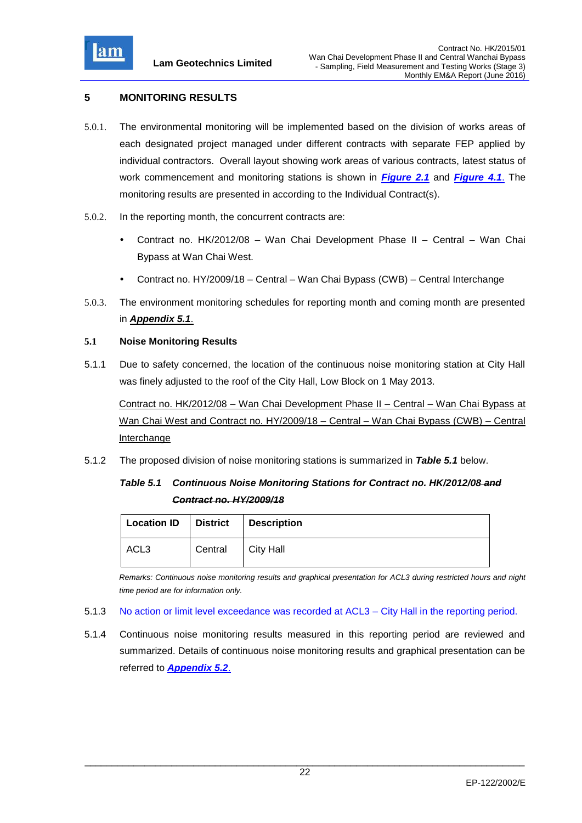

## **5 MONITORING RESULTS**

- 5.0.1. The environmental monitoring will be implemented based on the division of works areas of each designated project managed under different contracts with separate FEP applied by individual contractors. Overall layout showing work areas of various contracts, latest status of work commencement and monitoring stations is shown in *Figure 2.1* and *Figure 4.1*. The monitoring results are presented in according to the Individual Contract(s).
- 5.0.2. In the reporting month, the concurrent contracts are:
	- Contract no. HK/2012/08 Wan Chai Development Phase II Central Wan Chai Bypass at Wan Chai West.
	- Contract no. HY/2009/18 Central Wan Chai Bypass (CWB) Central Interchange
- 5.0.3. The environment monitoring schedules for reporting month and coming month are presented in *Appendix 5.1*.

#### **5.1 Noise Monitoring Results**

5.1.1 Due to safety concerned, the location of the continuous noise monitoring station at City Hall was finely adjusted to the roof of the City Hall, Low Block on 1 May 2013.

Contract no. HK/2012/08 – Wan Chai Development Phase II – Central – Wan Chai Bypass at Wan Chai West and Contract no. HY/2009/18 – Central – Wan Chai Bypass (CWB) – Central Interchange

5.1.2 The proposed division of noise monitoring stations is summarized in *Table 5.1* below.

# *Table 5.1 Continuous Noise Monitoring Stations for Contract no. HK/2012/08 and Contract no. HY/2009/18*

| Location ID   District   Description |         |           |
|--------------------------------------|---------|-----------|
| ACL3                                 | Central | City Hall |

*Remarks: Continuous noise monitoring results and graphical presentation for ACL3 during restricted hours and night time period are for information only.*

- 5.1.3 No action or limit level exceedance was recorded at ACL3 City Hall in the reporting period.
- 5.1.4 Continuous noise monitoring results measured in this reporting period are reviewed and summarized. Details of continuous noise monitoring results and graphical presentation can be referred to *Appendix 5.2*.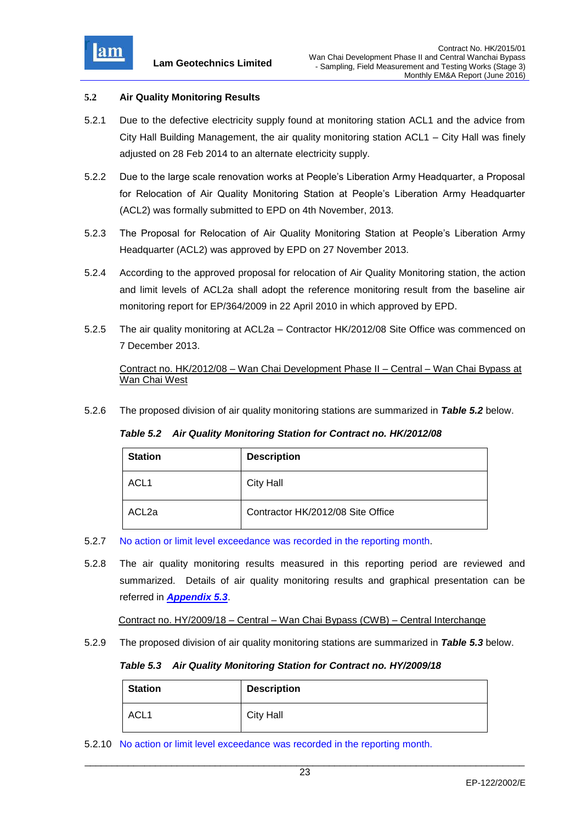

#### **5.2 Air Quality Monitoring Results**

- 5.2.1 Due to the defective electricity supply found at monitoring station ACL1 and the advice from City Hall Building Management, the air quality monitoring station ACL1 – City Hall was finely adjusted on 28 Feb 2014 to an alternate electricity supply.
- 5.2.2 Due to the large scale renovation works at People's Liberation Army Headquarter, a Proposal for Relocation of Air Quality Monitoring Station at People's Liberation Army Headquarter (ACL2) was formally submitted to EPD on 4th November, 2013.
- 5.2.3 The Proposal for Relocation of Air Quality Monitoring Station at People's Liberation Army Headquarter (ACL2) was approved by EPD on 27 November 2013.
- 5.2.4 According to the approved proposal for relocation of Air Quality Monitoring station, the action and limit levels of ACL2a shall adopt the reference monitoring result from the baseline air monitoring report for EP/364/2009 in 22 April 2010 in which approved by EPD.
- 5.2.5 The air quality monitoring at ACL2a Contractor HK/2012/08 Site Office was commenced on 7 December 2013.

 Contract no. HK/2012/08 – Wan Chai Development Phase II – Central – Wan Chai Bypass at Wan Chai West

5.2.6 The proposed division of air quality monitoring stations are summarized in *Table 5.2* below.

*Table 5.2 Air Quality Monitoring Station for Contract no. HK/2012/08*

| <b>Station</b>    | <b>Description</b>                |
|-------------------|-----------------------------------|
| ACL <sub>1</sub>  | <b>City Hall</b>                  |
| ACL <sub>2a</sub> | Contractor HK/2012/08 Site Office |

- 5.2.7 No action or limit level exceedance was recorded in the reporting month.
- 5.2.8 The air quality monitoring results measured in this reporting period are reviewed and summarized. Details of air quality monitoring results and graphical presentation can be referred in *Appendix 5.3*.

Contract no. HY/2009/18 – Central – Wan Chai Bypass (CWB) – Central Interchange

5.2.9 The proposed division of air quality monitoring stations are summarized in *Table 5.3* below.

*Table 5.3 Air Quality Monitoring Station for Contract no. HY/2009/18* 

| <b>Station</b>   | <b>Description</b> |
|------------------|--------------------|
| ACL <sub>1</sub> | <b>City Hall</b>   |

5.2.10 No action or limit level exceedance was recorded in the reporting month.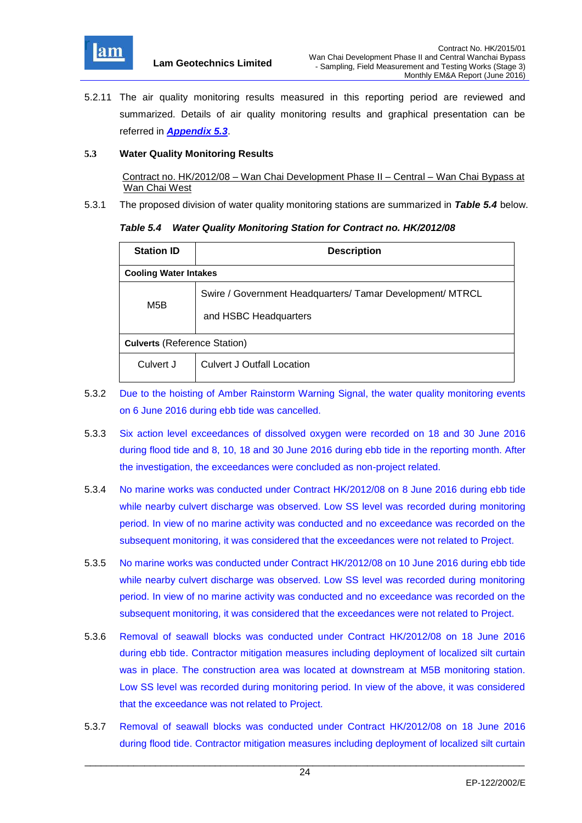

5.2.11 The air quality monitoring results measured in this reporting period are reviewed and summarized. Details of air quality monitoring results and graphical presentation can be referred in *Appendix 5.3*.

#### **5.3 Water Quality Monitoring Results**

 Contract no. HK/2012/08 – Wan Chai Development Phase II – Central – Wan Chai Bypass at Wan Chai West

5.3.1 The proposed division of water quality monitoring stations are summarized in *Table 5.4* below.

#### *Table 5.4 Water Quality Monitoring Station for Contract no. HK/2012/08*

| <b>Station ID</b>                   | <b>Description</b>                                                                 |  |  |  |  |
|-------------------------------------|------------------------------------------------------------------------------------|--|--|--|--|
| <b>Cooling Water Intakes</b>        |                                                                                    |  |  |  |  |
| M <sub>5</sub> B                    | Swire / Government Headquarters/ Tamar Development/ MTRCL<br>and HSBC Headquarters |  |  |  |  |
| <b>Culverts (Reference Station)</b> |                                                                                    |  |  |  |  |
| Culvert J                           | <b>Culvert J Outfall Location</b>                                                  |  |  |  |  |

- 5.3.2 Due to the hoisting of Amber Rainstorm Warning Signal, the water quality monitoring events on 6 June 2016 during ebb tide was cancelled.
- 5.3.3 Six action level exceedances of dissolved oxygen were recorded on 18 and 30 June 2016 during flood tide and 8, 10, 18 and 30 June 2016 during ebb tide in the reporting month. After the investigation, the exceedances were concluded as non-project related.
- 5.3.4 No marine works was conducted under Contract HK/2012/08 on 8 June 2016 during ebb tide while nearby culvert discharge was observed. Low SS level was recorded during monitoring period. In view of no marine activity was conducted and no exceedance was recorded on the subsequent monitoring, it was considered that the exceedances were not related to Project.
- 5.3.5 No marine works was conducted under Contract HK/2012/08 on 10 June 2016 during ebb tide while nearby culvert discharge was observed. Low SS level was recorded during monitoring period. In view of no marine activity was conducted and no exceedance was recorded on the subsequent monitoring, it was considered that the exceedances were not related to Project.
- 5.3.6 Removal of seawall blocks was conducted under Contract HK/2012/08 on 18 June 2016 during ebb tide. Contractor mitigation measures including deployment of localized silt curtain was in place. The construction area was located at downstream at M5B monitoring station. Low SS level was recorded during monitoring period. In view of the above, it was considered that the exceedance was not related to Project.
- 5.3.7 Removal of seawall blocks was conducted under Contract HK/2012/08 on 18 June 2016 during flood tide. Contractor mitigation measures including deployment of localized silt curtain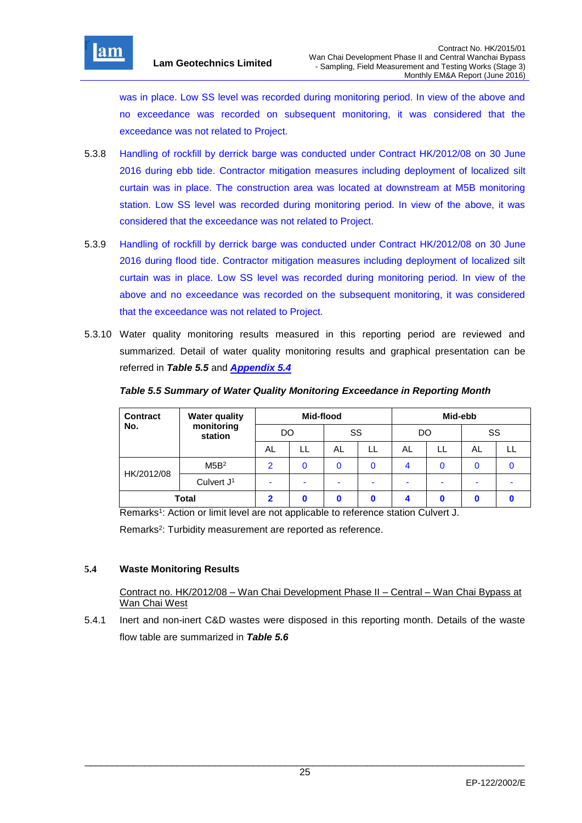was in place. Low SS level was recorded during monitoring period. In view of the above and no exceedance was recorded on subsequent monitoring, it was considered that the exceedance was not related to Project.

- 5.3.8 Handling of rockfill by derrick barge was conducted under Contract HK/2012/08 on 30 June 2016 during ebb tide. Contractor mitigation measures including deployment of localized silt curtain was in place. The construction area was located at downstream at M5B monitoring station. Low SS level was recorded during monitoring period. In view of the above, it was considered that the exceedance was not related to Project.
- 5.3.9 Handling of rockfill by derrick barge was conducted under Contract HK/2012/08 on 30 June 2016 during flood tide. Contractor mitigation measures including deployment of localized silt curtain was in place. Low SS level was recorded during monitoring period. In view of the above and no exceedance was recorded on the subsequent monitoring, it was considered that the exceedance was not related to Project.
- 5.3.10 Water quality monitoring results measured in this reporting period are reviewed and summarized. Detail of water quality monitoring results and graphical presentation can be referred in *Table 5.5* and *Appendix 5.4*

| <b>Contract</b> | <b>Water quality</b>  | Mid-flood     |    |    | Mid-ebb |    |  |    |  |
|-----------------|-----------------------|---------------|----|----|---------|----|--|----|--|
| No.             | monitoring<br>station | DO            |    | SS |         | DO |  | SS |  |
|                 |                       | AL.           | LL | AL | LL      | AL |  | AL |  |
| HK/2012/08      | M5B <sup>2</sup>      | $\mathcal{P}$ |    | 0  |         | 4  |  |    |  |
|                 | Culvert $J1$          |               |    |    |         |    |  |    |  |
| <b>Total</b>    |                       | 2             |    |    |         |    |  |    |  |

## *Table 5.5 Summary of Water Quality Monitoring Exceedance in Reporting Month*

Remarks<sup>1</sup>: Action or limit level are not applicable to reference station Culvert J.

Remarks<sup>2</sup>: Turbidity measurement are reported as reference.

## **5.4 Waste Monitoring Results**

 Contract no. HK/2012/08 – Wan Chai Development Phase II – Central – Wan Chai Bypass at Wan Chai West

5.4.1 Inert and non-inert C&D wastes were disposed in this reporting month. Details of the waste flow table are summarized in *Table 5.6*

\_\_\_\_\_\_\_\_\_\_\_\_\_\_\_\_\_\_\_\_\_\_\_\_\_\_\_\_\_\_\_\_\_\_\_\_\_\_\_\_\_\_\_\_\_\_\_\_\_\_\_\_\_\_\_\_\_\_\_\_\_\_\_\_\_\_\_\_\_\_\_\_\_\_\_\_\_\_\_\_\_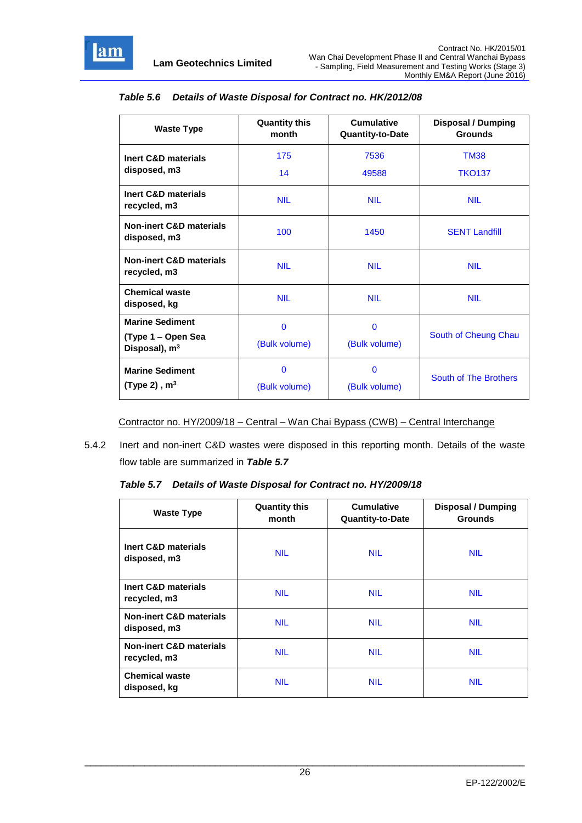

| <b>Waste Type</b>                                                         | <b>Quantity this</b><br>month | <b>Cumulative</b><br>Quantity-to-Date | <b>Disposal / Dumping</b><br><b>Grounds</b> |  |
|---------------------------------------------------------------------------|-------------------------------|---------------------------------------|---------------------------------------------|--|
| <b>Inert C&amp;D materials</b><br>disposed, m3                            | 175<br>14                     | 7536<br>49588                         | <b>TM38</b><br><b>TKO137</b>                |  |
| Inert C&D materials<br>recycled, m3                                       | <b>NIL</b>                    | <b>NIL</b>                            | <b>NIL</b>                                  |  |
| <b>Non-inert C&amp;D materials</b><br>disposed, m3                        | 100                           | 1450                                  | <b>SENT Landfill</b>                        |  |
| <b>Non-inert C&amp;D materials</b><br><b>NIL</b><br>recycled, m3          |                               | <b>NIL</b>                            | <b>NIL</b>                                  |  |
| <b>Chemical waste</b><br>disposed, kg                                     | <b>NIL</b>                    | <b>NIL</b>                            | <b>NIL</b>                                  |  |
| <b>Marine Sediment</b><br>(Type 1 – Open Sea<br>Disposal), m <sup>3</sup> | $\mathbf 0$<br>(Bulk volume)  | $\mathbf 0$<br>(Bulk volume)          | South of Cheung Chau                        |  |
| <b>Marine Sediment</b><br>(Type 2), $m3$                                  | $\mathbf{0}$<br>(Bulk volume) | $\mathbf{0}$<br>(Bulk volume)         | South of The Brothers                       |  |

#### *Table 5.6 Details of Waste Disposal for Contract no. HK/2012/08*

Contractor no. HY/2009/18 – Central – Wan Chai Bypass (CWB) – Central Interchange

5.4.2 Inert and non-inert C&D wastes were disposed in this reporting month. Details of the waste flow table are summarized in *Table 5.7*

*Table 5.7 Details of Waste Disposal for Contract no. HY/2009/18* 

| <b>Waste Type</b>                                  | <b>Quantity this</b><br>month | <b>Cumulative</b><br><b>Quantity-to-Date</b> | <b>Disposal / Dumping</b><br><b>Grounds</b> |
|----------------------------------------------------|-------------------------------|----------------------------------------------|---------------------------------------------|
| Inert C&D materials<br>disposed, m3                | <b>NIL</b>                    | <b>NIL</b>                                   | <b>NIL</b>                                  |
| <b>Inert C&amp;D materials</b><br>recycled, m3     | <b>NIL</b>                    | <b>NIL</b>                                   | <b>NIL</b>                                  |
| <b>Non-inert C&amp;D materials</b><br>disposed, m3 | <b>NIL</b>                    | <b>NIL</b>                                   | <b>NIL</b>                                  |
| <b>Non-inert C&amp;D materials</b><br>recycled, m3 | <b>NIL</b>                    | <b>NIL</b>                                   | <b>NIL</b>                                  |
| <b>Chemical waste</b><br>disposed, kg              | <b>NIL</b>                    | <b>NIL</b>                                   | <b>NIL</b>                                  |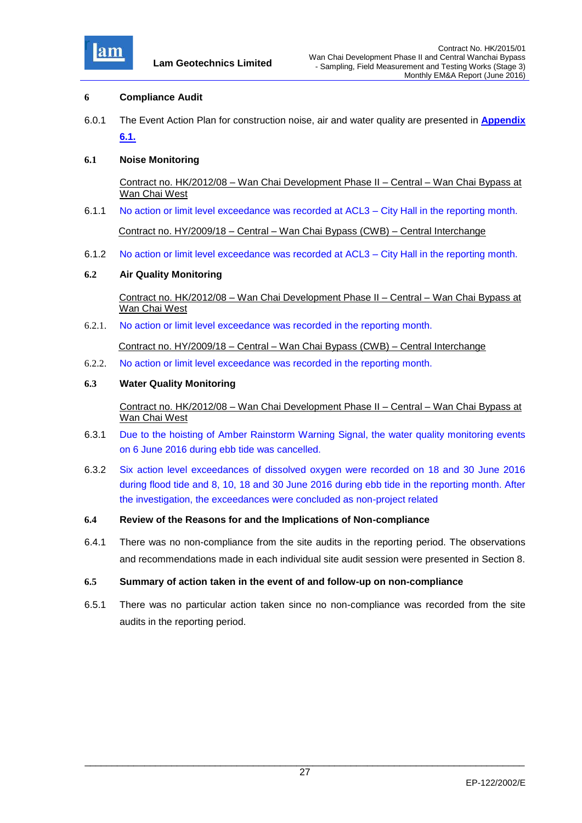

#### **6 Compliance Audit**

6.0.1 The Event Action Plan for construction noise, air and water quality are presented in **Appendix 6.1.**

#### **6.1 Noise Monitoring**

 Contract no. HK/2012/08 – Wan Chai Development Phase II – Central – Wan Chai Bypass at Wan Chai West

6.1.1 No action or limit level exceedance was recorded at ACL3 – City Hall in the reporting month.

Contract no. HY/2009/18 – Central – Wan Chai Bypass (CWB) – Central Interchange

6.1.2 No action or limit level exceedance was recorded at ACL3 – City Hall in the reporting month.

#### **6.2 Air Quality Monitoring**

 Contract no. HK/2012/08 – Wan Chai Development Phase II – Central – Wan Chai Bypass at Wan Chai West

6.2.1. No action or limit level exceedance was recorded in the reporting month.

Contract no. HY/2009/18 – Central – Wan Chai Bypass (CWB) – Central Interchange

6.2.2. No action or limit level exceedance was recorded in the reporting month.

#### **6.3 Water Quality Monitoring**

 Contract no. HK/2012/08 – Wan Chai Development Phase II – Central – Wan Chai Bypass at Wan Chai West

- 6.3.1 Due to the hoisting of Amber Rainstorm Warning Signal, the water quality monitoring events on 6 June 2016 during ebb tide was cancelled.
- 6.3.2 Six action level exceedances of dissolved oxygen were recorded on 18 and 30 June 2016 during flood tide and 8, 10, 18 and 30 June 2016 during ebb tide in the reporting month. After the investigation, the exceedances were concluded as non-project related
- **6.4 Review of the Reasons for and the Implications of Non-compliance**
- 6.4.1 There was no non-compliance from the site audits in the reporting period. The observations and recommendations made in each individual site audit session were presented in Section 8.

#### **6.5 Summary of action taken in the event of and follow-up on non-compliance**

6.5.1 There was no particular action taken since no non-compliance was recorded from the site audits in the reporting period.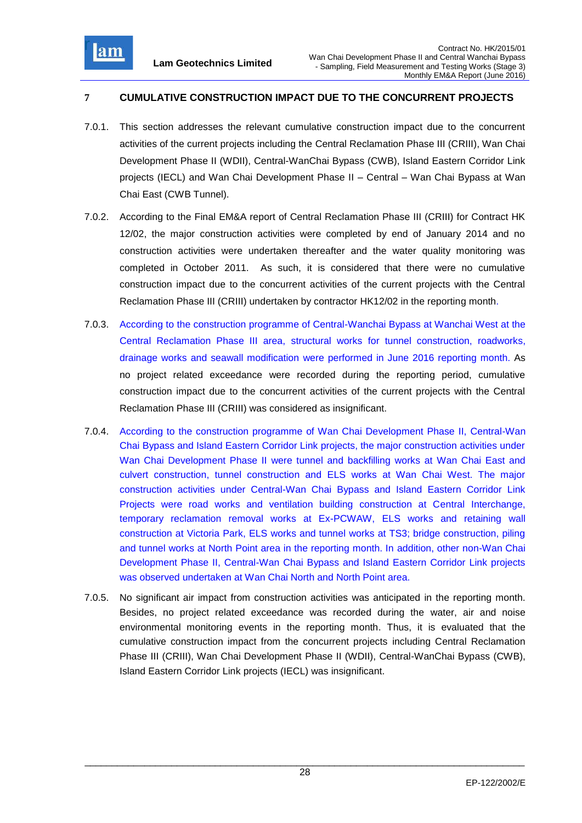

# **7 CUMULATIVE CONSTRUCTION IMPACT DUE TO THE CONCURRENT PROJECTS**

- 7.0.1. This section addresses the relevant cumulative construction impact due to the concurrent activities of the current projects including the Central Reclamation Phase III (CRIII), Wan Chai Development Phase II (WDII), Central-WanChai Bypass (CWB), Island Eastern Corridor Link projects (IECL) and Wan Chai Development Phase II – Central – Wan Chai Bypass at Wan Chai East (CWB Tunnel).
- 7.0.2. According to the Final EM&A report of Central Reclamation Phase III (CRIII) for Contract HK 12/02, the major construction activities were completed by end of January 2014 and no construction activities were undertaken thereafter and the water quality monitoring was completed in October 2011. As such, it is considered that there were no cumulative construction impact due to the concurrent activities of the current projects with the Central Reclamation Phase III (CRIII) undertaken by contractor HK12/02 in the reporting month.
- 7.0.3. According to the construction programme of Central-Wanchai Bypass at Wanchai West at the Central Reclamation Phase III area, structural works for tunnel construction, roadworks, drainage works and seawall modification were performed in June 2016 reporting month. As no project related exceedance were recorded during the reporting period, cumulative construction impact due to the concurrent activities of the current projects with the Central Reclamation Phase III (CRIII) was considered as insignificant.
- 7.0.4. According to the construction programme of Wan Chai Development Phase II, Central-Wan Chai Bypass and Island Eastern Corridor Link projects, the major construction activities under Wan Chai Development Phase II were tunnel and backfilling works at Wan Chai East and culvert construction, tunnel construction and ELS works at Wan Chai West. The major construction activities under Central-Wan Chai Bypass and Island Eastern Corridor Link Projects were road works and ventilation building construction at Central Interchange, temporary reclamation removal works at Ex-PCWAW, ELS works and retaining wall construction at Victoria Park, ELS works and tunnel works at TS3; bridge construction, piling and tunnel works at North Point area in the reporting month. In addition, other non-Wan Chai Development Phase II, Central-Wan Chai Bypass and Island Eastern Corridor Link projects was observed undertaken at Wan Chai North and North Point area.
- 7.0.5. No significant air impact from construction activities was anticipated in the reporting month. Besides, no project related exceedance was recorded during the water, air and noise environmental monitoring events in the reporting month. Thus, it is evaluated that the cumulative construction impact from the concurrent projects including Central Reclamation Phase III (CRIII), Wan Chai Development Phase II (WDII), Central-WanChai Bypass (CWB), Island Eastern Corridor Link projects (IECL) was insignificant.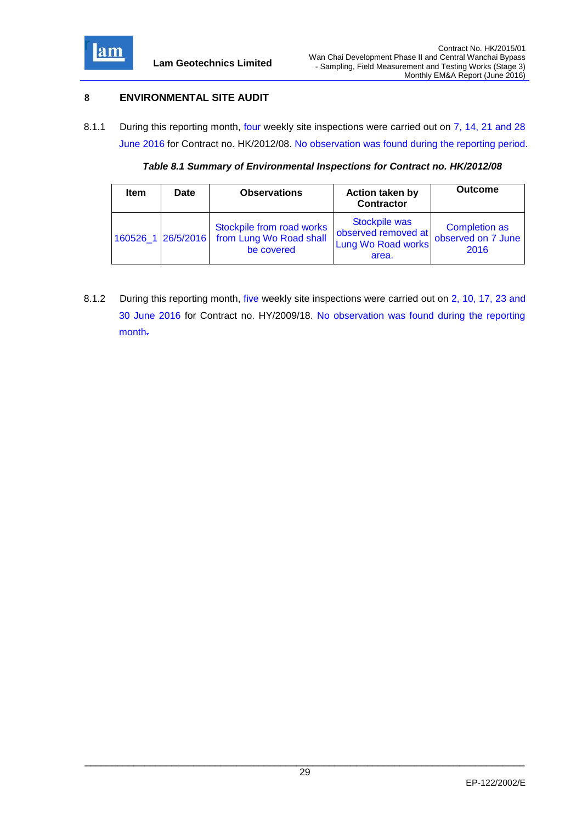

## **8 ENVIRONMENTAL SITE AUDIT**

8.1.1 During this reporting month, four weekly site inspections were carried out on 7, 14, 21 and 28 June 2016 for Contract no. HK/2012/08. No observation was found during the reporting period.

*Table 8.1 Summary of Environmental Inspections for Contract no. HK/2012/08*

| <b>Item</b>        | Date | <b>Observations</b>                                                | <b>Action taken by</b><br><b>Contractor</b>                         | <b>Outcome</b>                                     |
|--------------------|------|--------------------------------------------------------------------|---------------------------------------------------------------------|----------------------------------------------------|
| 160526 1 26/5/2016 |      | Stockpile from road works<br>from Lung Wo Road shall<br>be covered | Stockpile was<br>observed removed at<br>Lung Wo Road works<br>area. | <b>Completion as</b><br>observed on 7 June<br>2016 |

8.1.2 During this reporting month, five weekly site inspections were carried out on 2, 10, 17, 23 and 30 June 2016 for Contract no. HY/2009/18. No observation was found during the reporting month.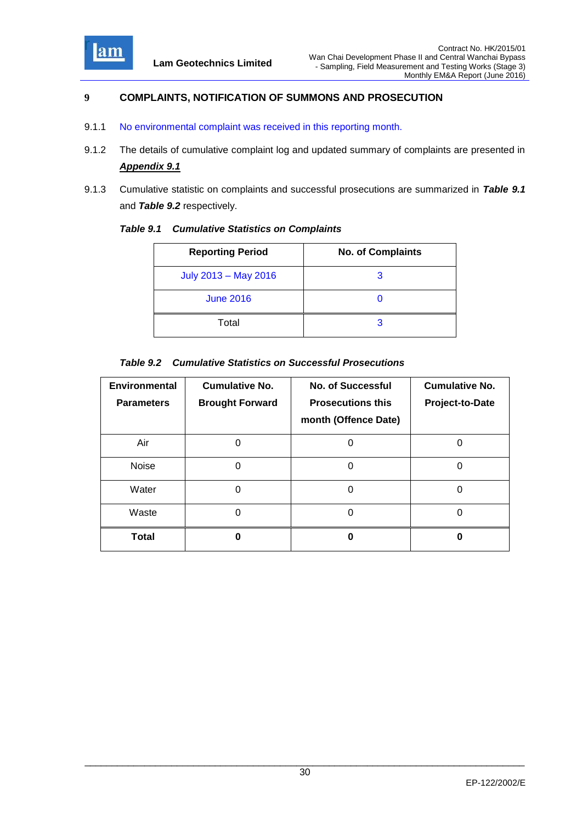

## **9 COMPLAINTS, NOTIFICATION OF SUMMONS AND PROSECUTION**

- 9.1.1 No environmental complaint was received in this reporting month.
- 9.1.2 The details of cumulative complaint log and updated summary of complaints are presented in *Appendix 9.1*
- 9.1.3 Cumulative statistic on complaints and successful prosecutions are summarized in *Table 9.1* and *Table 9.2* respectively.

| <b>Table 9.1 Cumulative Statistics on Complaints</b> |
|------------------------------------------------------|
|                                                      |

| <b>Reporting Period</b> | <b>No. of Complaints</b> |
|-------------------------|--------------------------|
| July 2013 - May 2016    | 3                        |
| <b>June 2016</b>        |                          |
| Total                   | З                        |

#### *Table 9.2 Cumulative Statistics on Successful Prosecutions*

| <b>Environmental</b><br><b>Parameters</b> | <b>Cumulative No.</b><br><b>Brought Forward</b> | <b>No. of Successful</b><br><b>Prosecutions this</b><br>month (Offence Date) | <b>Cumulative No.</b><br>Project-to-Date |
|-------------------------------------------|-------------------------------------------------|------------------------------------------------------------------------------|------------------------------------------|
| Air                                       |                                                 | U                                                                            |                                          |
| Noise                                     | O                                               | O                                                                            | O                                        |
| Water                                     | O                                               | 0                                                                            | 0                                        |
| Waste                                     | O                                               | 0                                                                            | 0                                        |
| Total                                     | n                                               |                                                                              |                                          |